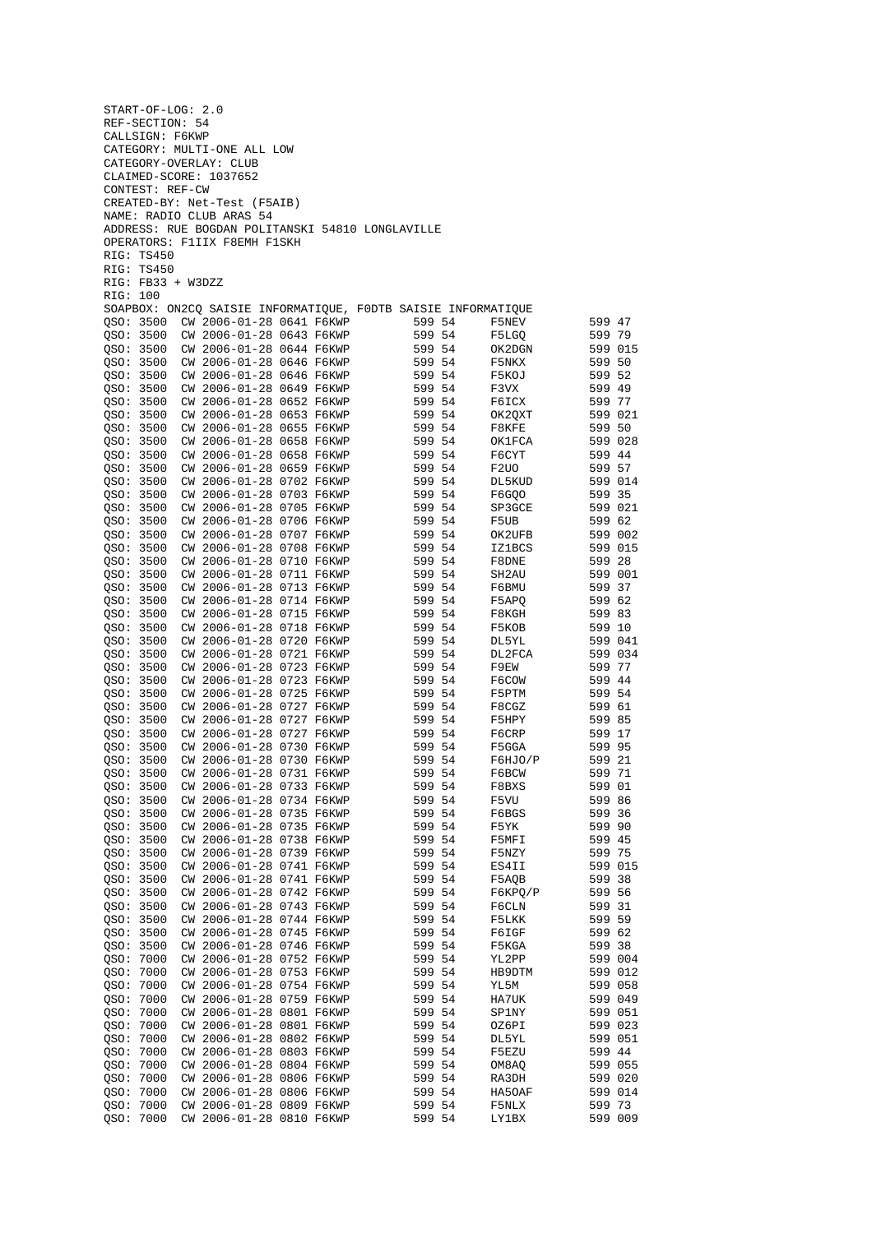|                        | START-OF-LOG: 2.0 |                                                      |  |                                                               |                   |                    |  |
|------------------------|-------------------|------------------------------------------------------|--|---------------------------------------------------------------|-------------------|--------------------|--|
|                        | REF-SECTION: 54   |                                                      |  |                                                               |                   |                    |  |
|                        | CALLSIGN: F6KWP   |                                                      |  |                                                               |                   |                    |  |
|                        |                   | CATEGORY: MULTI-ONE ALL LOW                          |  |                                                               |                   |                    |  |
|                        |                   | CATEGORY-OVERLAY: CLUB<br>CLAIMED-SCORE: 1037652     |  |                                                               |                   |                    |  |
|                        | CONTEST: REF-CW   |                                                      |  |                                                               |                   |                    |  |
|                        |                   | CREATED-BY: Net-Test (F5AIB)                         |  |                                                               |                   |                    |  |
|                        |                   | NAME: RADIO CLUB ARAS 54                             |  |                                                               |                   |                    |  |
|                        |                   |                                                      |  | ADDRESS: RUE BOGDAN POLITANSKI 54810 LONGLAVILLE              |                   |                    |  |
|                        |                   | OPERATORS: F1IIX F8EMH F1SKH                         |  |                                                               |                   |                    |  |
|                        | RIG: TS450        |                                                      |  |                                                               |                   |                    |  |
|                        | RIG: TS450        |                                                      |  |                                                               |                   |                    |  |
| RIG: 100               | RIG: FB33 + W3DZZ |                                                      |  |                                                               |                   |                    |  |
|                        |                   |                                                      |  | SOAPBOX: ON2CQ SAISIE INFORMATIQUE, FODTB SAISIE INFORMATIQUE |                   |                    |  |
| QSO: 3500              |                   | CW 2006-01-28 0641 F6KWP                             |  | 599 54                                                        | F5NEV             | 599 47             |  |
| QSO: 3500              |                   | CW 2006-01-28 0643 F6KWP                             |  | 599 54                                                        | F5LGQ             | 599 79             |  |
| QSO: 3500              |                   | CW 2006-01-28 0644 F6KWP                             |  | 599 54                                                        | OK2DGN            | 599 015            |  |
| QSO: 3500              |                   | CW 2006-01-28 0646 F6KWP                             |  | 599 54                                                        | F5NKX             | 599 50             |  |
| QSO: 3500              |                   | CW 2006-01-28 0646 F6KWP                             |  | 599 54                                                        | F5KOJ             | 599 52             |  |
| OSO: 3500              |                   | CW 2006-01-28 0649 F6KWP                             |  | 599 54                                                        | F3VX              | 599 49             |  |
| OSO: 3500              |                   | CW 2006-01-28 0652 F6KWP                             |  | 599 54                                                        | F6ICX             | 599 77             |  |
| QSO: 3500<br>QSO: 3500 |                   | CW 2006-01-28 0653 F6KWP<br>CW 2006-01-28 0655 F6KWP |  | 599 54<br>599 54                                              | OK2QXT<br>F8KFE   | 599 021<br>599 50  |  |
| QSO: 3500              |                   | CW 2006-01-28 0658 F6KWP                             |  | 599 54                                                        | OK1FCA            | 599 028            |  |
| QSO: 3500              |                   | CW 2006-01-28 0658 F6KWP                             |  | 599 54                                                        | F6CYT             | 599 44             |  |
| QSO: 3500              |                   | CW 2006-01-28 0659 F6KWP                             |  | 599 54                                                        | F <sub>2</sub> UO | 599 57             |  |
| QSO: 3500              |                   | CW 2006-01-28 0702 F6KWP                             |  | 599 54                                                        | DL5KUD            | 599 014            |  |
| QSO: 3500              |                   | CW 2006-01-28 0703 F6KWP                             |  | 599 54                                                        | F6GQO             | 599 35             |  |
| QSO: 3500              |                   | CW 2006-01-28 0705 F6KWP                             |  | 599 54                                                        | SP3GCE            | 599 021            |  |
| QSO: 3500              |                   | CW 2006-01-28 0706 F6KWP                             |  | 599 54                                                        | F5UB              | 599 62             |  |
| QSO: 3500              |                   | CW 2006-01-28 0707 F6KWP                             |  | 599 54                                                        | OK2UFB            | 599 002            |  |
| QSO: 3500              |                   | CW 2006-01-28 0708 F6KWP                             |  | 599 54                                                        | <b>IZ1BCS</b>     | 599 015            |  |
| QSO: 3500<br>QSO: 3500 |                   | CW 2006-01-28 0710 F6KWP<br>CW 2006-01-28 0711 F6KWP |  | 599 54<br>599 54                                              | F8DNE             | 599 28<br>599 001  |  |
| QSO: 3500              |                   | CW 2006-01-28 0713 F6KWP                             |  | 599 54                                                        | SH2AU<br>F6BMU    | 599 37             |  |
| QSO: 3500              |                   | CW 2006-01-28 0714 F6KWP                             |  | 599 54                                                        | F5APQ             | 599 62             |  |
| QSO: 3500              |                   | CW 2006-01-28 0715 F6KWP                             |  | 599 54                                                        | F8KGH             | 599 83             |  |
| QSO: 3500              |                   | CW 2006-01-28 0718 F6KWP                             |  | 599 54                                                        | F5KOB             | 599 10             |  |
| QSO: 3500              |                   | CW 2006-01-28 0720 F6KWP                             |  | 599 54                                                        | DL5YL             | 599 041            |  |
| QSO: 3500              |                   | CW 2006-01-28 0721 F6KWP                             |  | 599 54                                                        | DL2FCA            | 599 034            |  |
| QSO: 3500              |                   | CW 2006-01-28 0723 F6KWP                             |  | 599 54                                                        | F9EW              | 599 77             |  |
| QSO: 3500              |                   | CW 2006-01-28 0723 F6KWP                             |  | 599 54                                                        | F6COW             | 599 44             |  |
| QSO: 3500<br>QSO: 3500 |                   | CW 2006-01-28 0725 F6KWP<br>CW 2006-01-28 0727 F6KWP |  | 599 54<br>599 54                                              | F5PTM             | 599 54             |  |
| QSO: 3500              |                   | CW 2006-01-28 0727 F6KWP                             |  | 599 54                                                        | F8CGZ<br>F5HPY    | 599 61<br>599 85   |  |
| QSO: 3500              |                   | CW 2006-01-28 0727 F6KWP                             |  | 599 54                                                        | F6CRP             | 599 17             |  |
| OSO: 3500              |                   | CW 2006-01-28 0730 F6KWP                             |  | 599 54                                                        | F5GGA             | 599 95             |  |
|                        |                   | QSO: 3500 CW 2006-01-28 0730 F6KWP                   |  | 599 54                                                        | F6HJO/P           | 599 21             |  |
| QSO: 3500              |                   | CW 2006-01-28 0731 F6KWP                             |  | 599 54                                                        | F6BCW             | 599 71             |  |
| QSO: 3500              |                   | CW 2006-01-28 0733 F6KWP                             |  | 599 54                                                        | F8BXS             | 599 01             |  |
| QSO: 3500              |                   | CW 2006-01-28 0734 F6KWP                             |  | 599 54                                                        | F5VU              | 599 86             |  |
| QSO: 3500              |                   | CW 2006-01-28 0735 F6KWP                             |  | 599 54                                                        | F6BGS             | 599 36             |  |
| QSO: 3500              |                   | CW 2006-01-28 0735 F6KWP                             |  | 599 54                                                        | F5YK              | 599 90             |  |
| QSO: 3500<br>OSO: 3500 |                   | CW 2006-01-28 0738 F6KWP<br>CW 2006-01-28 0739 F6KWP |  | 599 54<br>599 54                                              | F5MFI<br>F5NZY    | 599 45<br>599 75   |  |
| QSO: 3500              |                   | CW 2006-01-28 0741 F6KWP                             |  | 599 54                                                        | ES4II             | 599 015            |  |
| QSO: 3500              |                   | CW 2006-01-28 0741 F6KWP                             |  | 599 54                                                        | F5AQB             | 599 38             |  |
| QSO: 3500              |                   | CW 2006-01-28 0742 F6KWP                             |  | 599 54                                                        | F6KPQ/P           | 599 56             |  |
| QSO: 3500              |                   | CW 2006-01-28 0743 F6KWP                             |  | 599 54                                                        | F6CLN             | 599 31             |  |
| QSO: 3500              |                   | CW 2006-01-28 0744 F6KWP                             |  | 599 54                                                        | F5LKK             | 599 59             |  |
| QSO: 3500              |                   | CW 2006-01-28 0745 F6KWP                             |  | 599 54                                                        | F6IGF             | 599 62             |  |
| QSO: 3500              |                   | CW 2006-01-28 0746 F6KWP                             |  | 599 54                                                        | F5KGA             | 599 38             |  |
| QSO: 7000              |                   | CW 2006-01-28 0752 F6KWP                             |  | 599 54                                                        | YL2PP             | 599 004            |  |
| QSO: 7000              |                   | CW 2006-01-28 0753 F6KWP                             |  | 599 54                                                        | HB9DTM            | 599 012            |  |
| QSO: 7000              |                   | CW 2006-01-28 0754 F6KWP<br>CW 2006-01-28 0759 F6KWP |  | 599 54                                                        | YL5M              | 599 058            |  |
| QSO: 7000<br>QSO: 7000 |                   | CW 2006-01-28 0801 F6KWP                             |  | 599 54<br>599 54                                              | HA7UK<br>SP1NY    | 599 049<br>599 051 |  |
| QSO: 7000              |                   | CW 2006-01-28 0801 F6KWP                             |  | 599 54                                                        | OZ6PI             | 599 023            |  |
| QSO: 7000              |                   | CW 2006-01-28 0802 F6KWP                             |  | 599 54                                                        | DL5YL             | 599 051            |  |
| QSO: 7000              |                   | CW 2006-01-28 0803 F6KWP                             |  | 599 54                                                        | F5EZU             | 599 44             |  |
| QSO: 7000              |                   | CW 2006-01-28 0804 F6KWP                             |  | 599 54                                                        | OM8AQ             | 599 055            |  |
| QSO: 7000              |                   | CW 2006-01-28 0806 F6KWP                             |  | 599 54                                                        | RA3DH             | 599 020            |  |
| QSO: 7000              |                   | CW 2006-01-28 0806 F6KWP                             |  | 599 54                                                        | HA50AF            | 599 014            |  |
| QSO: 7000              |                   | CW 2006-01-28 0809 F6KWP                             |  | 599 54                                                        | F5NLX             | 599 73             |  |
| QSO: 7000              |                   | CW 2006-01-28 0810 F6KWP                             |  | 599 54                                                        | LY1BX             | 599 009            |  |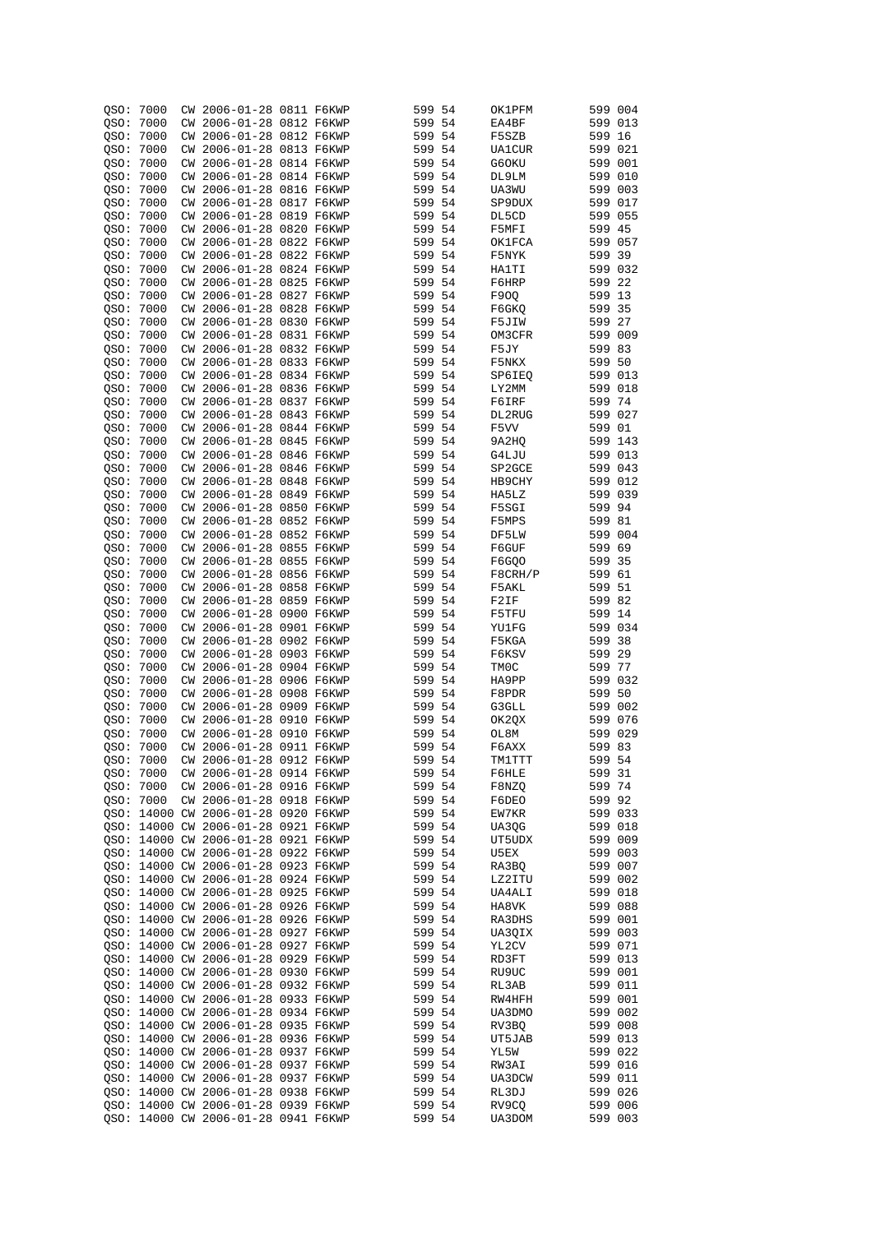| QSO:      | 7000      |     | CW 2006-01-28 0811 F6KWP            |  | 599 54 |     | OK1PFM  |         | 599 004 |
|-----------|-----------|-----|-------------------------------------|--|--------|-----|---------|---------|---------|
|           |           |     |                                     |  |        |     |         |         |         |
| QSO:      | 7000      |     | CW 2006-01-28 0812 F6KWP            |  | 599 54 |     | EA4BF   |         | 599 013 |
| OSO:      | 7000      |     | CW 2006-01-28 0812 F6KWP            |  | 599 54 |     | F5SZB   | 599 16  |         |
| QSO:      | 7000      |     | CW 2006-01-28 0813 F6KWP            |  | 599 54 |     | UA1CUR  | 599 021 |         |
| QSO:      | 7000      |     | CW 2006-01-28 0814 F6KWP            |  | 599 54 |     | G60KU   | 599 001 |         |
|           |           |     |                                     |  |        |     |         |         |         |
| QSO:      | 7000      |     | CW 2006-01-28 0814 F6KWP            |  | 599 54 |     | DL9LM   | 599 010 |         |
| QSO:      | 7000      |     | CW 2006-01-28 0816 F6KWP            |  | 599 54 |     | UA3WU   |         | 599 003 |
| QSO:      | 7000      |     | CW 2006-01-28 0817 F6KWP            |  | 599 54 |     | SP9DUX  | 599 017 |         |
| QSO:      | 7000      |     | CW 2006-01-28 0819 F6KWP            |  | 599 54 |     | DL5CD   | 599 055 |         |
|           |           |     |                                     |  |        |     |         |         |         |
| QSO:      | 7000      |     | CW 2006-01-28 0820 F6KWP            |  | 599 54 |     | F5MFI   | 599 45  |         |
| QSO:      | 7000      |     | CW 2006-01-28 0822 F6KWP            |  | 599 54 |     | OK1FCA  | 599 057 |         |
| QSO:      | 7000      |     | CW 2006-01-28 0822 F6KWP            |  | 599 54 |     | F5NYK   | 599 39  |         |
| QSO:      | 7000      |     | CW 2006-01-28 0824 F6KWP            |  | 599 54 |     | HA1TI   |         | 599 032 |
|           |           |     |                                     |  |        |     |         |         |         |
| OSO:      | 7000      |     | CW 2006-01-28 0825 F6KWP            |  | 599 54 |     | F6HRP   | 599 22  |         |
| OSO:      | 7000      |     | CW 2006-01-28 0827 F6KWP            |  | 599 54 |     | F90Q    | 599 13  |         |
| QSO:      | 7000      |     | CW 2006-01-28 0828 F6KWP            |  | 599 54 |     | F6GKQ   | 599 35  |         |
| QSO:      | 7000      |     | CW 2006-01-28 0830 F6KWP            |  | 599 54 |     | F5JIW   | 599 27  |         |
| QSO:      | 7000      |     | CW 2006-01-28 0831 F6KWP            |  | 599 54 |     | OM3CFR  | 599 009 |         |
|           |           |     |                                     |  |        |     |         |         |         |
| QSO:      | 7000      |     | CW 2006-01-28 0832 F6KWP            |  | 599 54 |     | F5JY    | 599 83  |         |
| QSO:      | 7000      |     | CW 2006-01-28 0833 F6KWP            |  | 599 54 |     | F5NKX   | 599 50  |         |
| QSO:      | 7000      |     | CW 2006-01-28 0834 F6KWP            |  | 599 54 |     | SP6IEQ  | 599 013 |         |
| QSO:      | 7000      |     | CW 2006-01-28 0836 F6KWP            |  | 599    | -54 | LY2MM   | 599 018 |         |
|           |           |     |                                     |  |        |     |         |         |         |
| QSO:      | 7000      |     | CW 2006-01-28 0837 F6KWP            |  | 599 54 |     | F6IRF   | 599 74  |         |
| QSO:      | 7000      | СW  | 2006-01-28 0843 F6KWP               |  | 599    | 54  | DL2RUG  | 599 027 |         |
| QSO: 7000 |           |     | CW 2006-01-28 0844 F6KWP            |  | 599 54 |     | F5VV    | 599 01  |         |
| QSO:      | 7000      | СW  | 2006-01-28 0845 F6KWP               |  | 599    | -54 | 9A2HQ   | 599 143 |         |
| QSO:      | 7000      | СW  | 2006-01-28 0846 F6KWP               |  | 599 54 |     | G4LJU   |         | 599 013 |
|           |           |     |                                     |  |        |     |         |         |         |
| QSO:      | 7000      | СW  | 2006-01-28 0846 F6KWP               |  | 599    | 54  | SP2GCE  |         | 599 043 |
| QSO:      | 7000      |     | CW 2006-01-28 0848 F6KWP            |  | 599 54 |     | HB9CHY  |         | 599 012 |
| QSO:      | 7000      | СW  | 2006-01-28 0849 F6KWP               |  | 599    | -54 | HA5LZ   | 599 039 |         |
| QSO:      | 7000      | СW  | 2006-01-28 0850 F6KWP               |  | 599 54 |     | F5SGI   | 599 94  |         |
|           |           |     |                                     |  |        |     |         |         |         |
| QSO:      | 7000      | СW  | 2006-01-28 0852 F6KWP               |  | 599    | 54  | F5MPS   | 599 81  |         |
| QSO: 7000 |           | СW  | 2006-01-28 0852 F6KWP               |  | 599 54 |     | DF5LW   |         | 599 004 |
| QSO:      | 7000      | СW  | 2006-01-28 0855 F6KWP               |  | 599    | -54 | F6GUF   | 599     | 69      |
| QSO: 7000 |           | СW  | 2006-01-28 0855 F6KWP               |  | 599 54 |     | F6GQ0   | 599 35  |         |
|           | 7000      |     | 2006-01-28 0856 F6KWP               |  | 599    |     |         | 599     |         |
| QSO:      |           | СW  |                                     |  |        | -54 | F8CRH/P |         | 61      |
| QSO: 7000 |           | СW  | 2006-01-28 0858 F6KWP               |  | 599 54 |     | F5AKL   | 599 51  |         |
| QSO:      | 7000      |     | CW 2006-01-28 0859 F6KWP            |  | 599    | -54 | F2IF    | 599 82  |         |
| QSO:      | 7000      | СW  | 2006-01-28 0900 F6KWP               |  | 599    | -54 | F5TFU   | 599 14  |         |
| QSO:      | 7000      | СW  | 2006-01-28 0901 F6KWP               |  | 599    | -54 | YU1FG   |         | 599 034 |
|           |           |     |                                     |  |        |     |         |         |         |
| QSO: 7000 |           | CW. | 2006-01-28 0902 F6KWP               |  | 599 54 |     | F5KGA   | 599 38  |         |
| QSO:      | 7000      |     | CW 2006-01-28 0903 F6KWP            |  | 599    | -54 | F6KSV   | 599 29  |         |
| QSO: 7000 |           |     | CW 2006-01-28 0904 F6KWP            |  | 599 54 |     | TM0C    | 599 77  |         |
| QSO:      | 7000      |     | CW 2006-01-28 0906 F6KWP            |  | 599    | -54 | HA9PP   |         | 599 032 |
| QSO:      | 7000      |     | CW 2006-01-28 0908 F6KWP            |  | 599 54 |     | F8PDR   | 599 50  |         |
|           |           |     |                                     |  |        |     |         |         |         |
| QSO:      | 7000      |     | CW 2006-01-28 0909 F6KWP            |  | 599 54 |     | G3GLL   |         | 599 002 |
| QSO:      | 7000      | СW  | 2006-01-28 0910 F6KWP               |  | 599 54 |     | OK2QX   | 599 076 |         |
| OSO:      | 7000      | СW  | 2006-01-28 0910 F6KWP               |  | 599    | -54 | OL8M    | 599 029 |         |
| QSO:      | 7000      |     | CW 2006-01-28 0911 F6KWP            |  | 599 54 |     | F6AXX   | 599 83  |         |
|           |           |     |                                     |  |        |     |         |         |         |
|           | QSO: 7000 |     | CW 2006-01-28 0912 F6KWP            |  | 599 54 |     | TM1TTT  | 599 54  |         |
|           | QSO: 7000 |     | CW 2006-01-28 0914 F6KWP            |  | 599 54 |     | F6HLE   | 599 31  |         |
|           | OSO: 7000 |     | CW 2006-01-28 0916 F6KWP            |  | 599 54 |     | F8NZQ   | 599 74  |         |
|           | QSO: 7000 |     | CW 2006-01-28 0918 F6KWP            |  | 599 54 |     | F6DEO   | 599 92  |         |
|           |           |     | OSO: 14000 CW 2006-01-28 0920 F6KWP |  | 599 54 |     | EW7KR   |         | 599 033 |
|           |           |     | QSO: 14000 CW 2006-01-28 0921 F6KWP |  | 599 54 |     | UA3QG   |         | 599 018 |
|           |           |     |                                     |  |        |     |         |         |         |
|           |           |     | OSO: 14000 CW 2006-01-28 0921 F6KWP |  | 599 54 |     | UT5UDX  |         | 599 009 |
|           |           |     | QSO: 14000 CW 2006-01-28 0922 F6KWP |  | 599 54 |     | U5EX    |         | 599 003 |
|           |           |     | QSO: 14000 CW 2006-01-28 0923 F6KWP |  | 599 54 |     | RA3BQ   |         | 599 007 |
|           |           |     | QSO: 14000 CW 2006-01-28 0924 F6KWP |  | 599 54 |     | LZ2ITU  |         | 599 002 |
|           |           |     |                                     |  |        |     |         |         |         |
|           |           |     | QSO: 14000 CW 2006-01-28 0925 F6KWP |  | 599 54 |     | UA4ALI  |         | 599 018 |
|           |           |     | OSO: 14000 CW 2006-01-28 0926 F6KWP |  | 599 54 |     | HA8VK   |         | 599 088 |
|           |           |     | OSO: 14000 CW 2006-01-28 0926 F6KWP |  | 599 54 |     | RA3DHS  |         | 599 001 |
|           |           |     | QSO: 14000 CW 2006-01-28 0927 F6KWP |  | 599 54 |     | UA3QIX  |         | 599 003 |
|           |           |     | QSO: 14000 CW 2006-01-28 0927 F6KWP |  | 599 54 |     | YL2CV   |         | 599 071 |
|           |           |     |                                     |  |        |     |         |         |         |
|           |           |     | QSO: 14000 CW 2006-01-28 0929 F6KWP |  | 599 54 |     | RD3FT   |         | 599 013 |
|           |           |     | QSO: 14000 CW 2006-01-28 0930 F6KWP |  | 599 54 |     | RU9UC   |         | 599 001 |
|           |           |     | QSO: 14000 CW 2006-01-28 0932 F6KWP |  | 599 54 |     | RL3AB   |         | 599 011 |
|           |           |     | QSO: 14000 CW 2006-01-28 0933 F6KWP |  | 599 54 |     | RW4HFH  |         | 599 001 |
|           |           |     | QSO: 14000 CW 2006-01-28 0934 F6KWP |  | 599 54 |     | UA3DMO  |         | 599 002 |
|           |           |     |                                     |  |        |     |         |         |         |
|           |           |     | QSO: 14000 CW 2006-01-28 0935 F6KWP |  | 599 54 |     | RV3BQ   |         | 599 008 |
|           |           |     | QSO: 14000 CW 2006-01-28 0936 F6KWP |  | 599 54 |     | UT5JAB  |         | 599 013 |
|           |           |     | QSO: 14000 CW 2006-01-28 0937 F6KWP |  | 599 54 |     | YL5W    |         | 599 022 |
|           |           |     | QSO: 14000 CW 2006-01-28 0937 F6KWP |  | 599 54 |     | RW3AI   |         | 599 016 |
|           |           |     |                                     |  |        |     |         |         |         |
|           |           |     | QSO: 14000 CW 2006-01-28 0937 F6KWP |  | 599 54 |     | UA3DCW  |         | 599 011 |
|           |           |     | QSO: 14000 CW 2006-01-28 0938 F6KWP |  | 599 54 |     | RL3DJ   |         | 599 026 |
|           |           |     | QSO: 14000 CW 2006-01-28 0939 F6KWP |  | 599 54 |     | RV9CQ   |         | 599 006 |
|           |           |     | QSO: 14000 CW 2006-01-28 0941 F6KWP |  | 599 54 |     | UA3DOM  |         | 599 003 |
|           |           |     |                                     |  |        |     |         |         |         |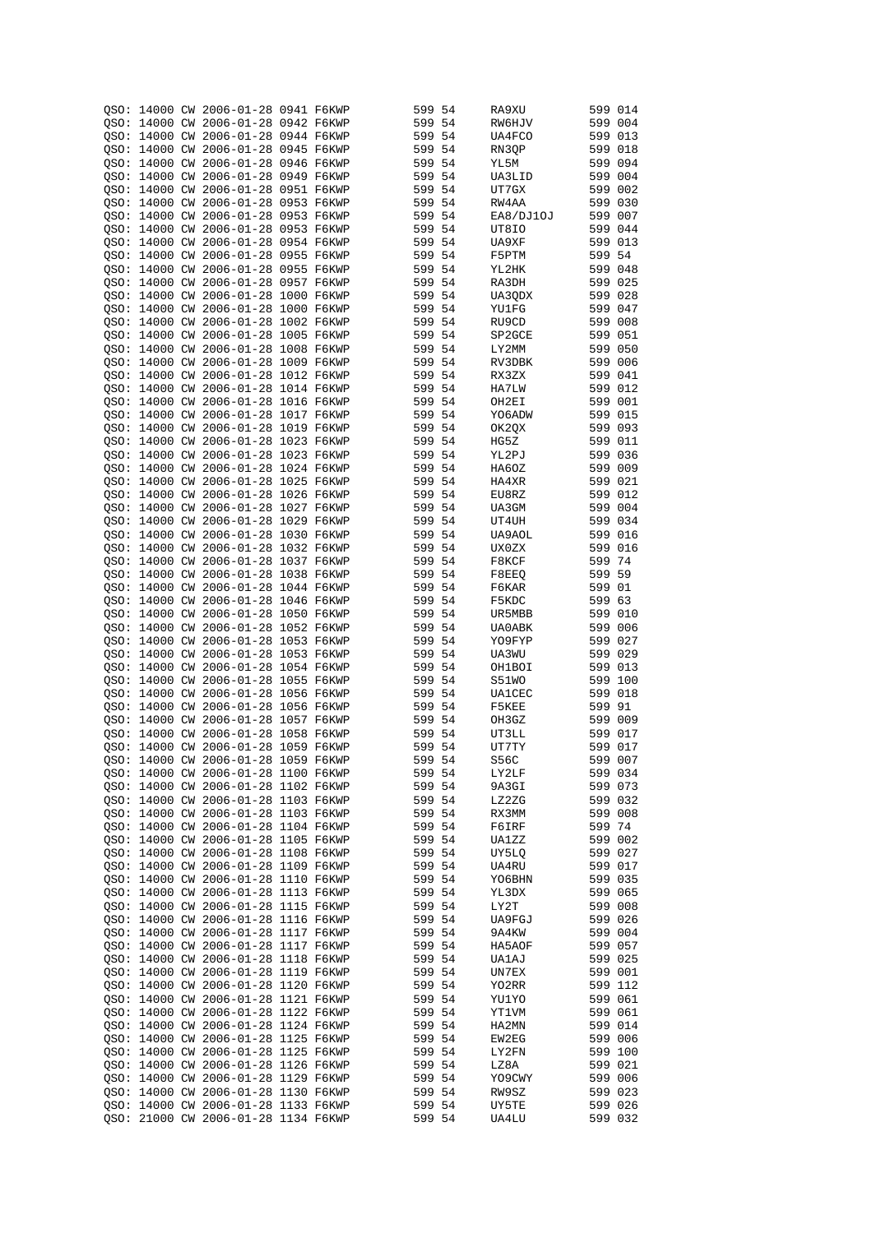|  | QSO: 14000 CW 2006-01-28 0941 F6KWP |  | 599 54 |      | RA9XU         | 599 014 |  |
|--|-------------------------------------|--|--------|------|---------------|---------|--|
|  |                                     |  |        |      |               |         |  |
|  | OSO: 14000 CW 2006-01-28 0942 F6KWP |  | 599 54 |      | RW6HJV        | 599 004 |  |
|  | QSO: 14000 CW 2006-01-28 0944 F6KWP |  | 599 54 |      | UA4FCO        | 599 013 |  |
|  | OSO: 14000 CW 2006-01-28 0945 F6KWP |  | 599 54 |      | RN3QP         | 599 018 |  |
|  | OSO: 14000 CW 2006-01-28 0946 F6KWP |  | 599 54 |      | YL5M          | 599 094 |  |
|  |                                     |  |        |      |               |         |  |
|  | OSO: 14000 CW 2006-01-28 0949 F6KWP |  | 599 54 |      | UA3LID        | 599 004 |  |
|  | QSO: 14000 CW 2006-01-28 0951 F6KWP |  | 599 54 |      | UT7GX         | 599 002 |  |
|  | QSO: 14000 CW 2006-01-28 0953 F6KWP |  | 599 54 |      | RW4AA         | 599 030 |  |
|  | OSO: 14000 CW 2006-01-28 0953 F6KWP |  | 599 54 |      | EA8/DJ10J     | 599 007 |  |
|  |                                     |  |        |      |               |         |  |
|  | QSO: 14000 CW 2006-01-28 0953 F6KWP |  | 599 54 |      | UT8IO         | 599 044 |  |
|  | QSO: 14000 CW 2006-01-28 0954 F6KWP |  | 599 54 |      | UA9XF         | 599 013 |  |
|  | QSO: 14000 CW 2006-01-28 0955 F6KWP |  | 599 54 |      | F5PTM         | 599 54  |  |
|  | QSO: 14000 CW 2006-01-28 0955 F6KWP |  | 599 54 |      | YL2HK         | 599 048 |  |
|  |                                     |  |        |      |               |         |  |
|  | QSO: 14000 CW 2006-01-28 0957 F6KWP |  | 599 54 |      | RA3DH         | 599 025 |  |
|  | OSO: 14000 CW 2006-01-28 1000 F6KWP |  | 599 54 |      | UA3QDX        | 599 028 |  |
|  | QSO: 14000 CW 2006-01-28 1000 F6KWP |  | 599 54 |      | YU1FG         | 599 047 |  |
|  | QSO: 14000 CW 2006-01-28 1002 F6KWP |  | 599 54 |      | RU9CD         | 599 008 |  |
|  |                                     |  |        |      |               | 599 051 |  |
|  | QSO: 14000 CW 2006-01-28 1005 F6KWP |  | 599 54 |      | SP2GCE        |         |  |
|  | QSO: 14000 CW 2006-01-28 1008 F6KWP |  | 599 54 |      | LY2MM         | 599 050 |  |
|  | QSO: 14000 CW 2006-01-28 1009 F6KWP |  | 599 54 |      | RV3DBK        | 599 006 |  |
|  | QSO: 14000 CW 2006-01-28 1012 F6KWP |  | 599 54 |      | RX3ZX         | 599 041 |  |
|  | QSO: 14000 CW 2006-01-28 1014 F6KWP |  | 599 54 |      |               | 599 012 |  |
|  |                                     |  |        |      | HA7LW         |         |  |
|  | QSO: 14000 CW 2006-01-28 1016 F6KWP |  | 599 54 |      | OH2EI         | 599 001 |  |
|  | QSO: 14000 CW 2006-01-28 1017 F6KWP |  | 599 54 |      | YO6ADW        | 599 015 |  |
|  | QSO: 14000 CW 2006-01-28 1019 F6KWP |  | 599 54 |      | OK2QX         | 599 093 |  |
|  | OSO: 14000 CW 2006-01-28 1023 F6KWP |  | 599 54 |      | HG5Z          | 599 011 |  |
|  |                                     |  |        |      |               |         |  |
|  | QSO: 14000 CW 2006-01-28 1023 F6KWP |  | 599 54 |      | YL2PJ         | 599 036 |  |
|  | OSO: 14000 CW 2006-01-28 1024 F6KWP |  | 599 54 |      | HA6OZ         | 599 009 |  |
|  | QSO: 14000 CW 2006-01-28 1025 F6KWP |  | 599 54 |      | HA4XR         | 599 021 |  |
|  | OSO: 14000 CW 2006-01-28 1026 F6KWP |  | 599 54 |      | EU8RZ         | 599 012 |  |
|  |                                     |  |        |      |               |         |  |
|  | QSO: 14000 CW 2006-01-28 1027 F6KWP |  | 599 54 |      | UA3GM         | 599 004 |  |
|  | OSO: 14000 CW 2006-01-28 1029 F6KWP |  | 599    | -54  | UT4UH         | 599 034 |  |
|  | QSO: 14000 CW 2006-01-28 1030 F6KWP |  | 599 54 |      | UA9AOL        | 599 016 |  |
|  | QSO: 14000 CW 2006-01-28 1032 F6KWP |  | 599    | -54  | UX0ZX         | 599 016 |  |
|  |                                     |  |        |      |               |         |  |
|  | QSO: 14000 CW 2006-01-28 1037 F6KWP |  | 599 54 |      | F8KCF         | 599 74  |  |
|  | QSO: 14000 CW 2006-01-28 1038 F6KWP |  | 599    | -54  | F8EEQ         | 599 59  |  |
|  | QSO: 14000 CW 2006-01-28 1044 F6KWP |  | 599 54 |      | F6KAR         | 599 01  |  |
|  | OSO: 14000 CW 2006-01-28 1046 F6KWP |  | 599    | 54   | F5KDC         | 599 63  |  |
|  |                                     |  |        |      |               |         |  |
|  | OSO: 14000 CW 2006-01-28 1050 F6KWP |  | 599 54 |      | UR5MBB        | 599 010 |  |
|  | OSO: 14000 CW 2006-01-28 1052 F6KWP |  | 599    | -54  | UA0ABK        | 599 006 |  |
|  | OSO: 14000 CW 2006-01-28 1053 F6KWP |  | 599 54 |      | YO9FYP        | 599 027 |  |
|  | QSO: 14000 CW 2006-01-28 1053 F6KWP |  | 599    | - 54 | UA3WU         | 599 029 |  |
|  | QSO: 14000 CW 2006-01-28 1054 F6KWP |  | 599 54 |      |               | 599 013 |  |
|  |                                     |  |        |      | OH1BOI        |         |  |
|  | OSO: 14000 CW 2006-01-28 1055 F6KWP |  | 599    | 54   | S51WO         | 599 100 |  |
|  | OSO: 14000 CW 2006-01-28 1056 F6KWP |  | 599 54 |      | <b>UA1CEC</b> | 599 018 |  |
|  | QSO: 14000 CW 2006-01-28 1056 F6KWP |  | 599 54 |      | F5KEE         | 599 91  |  |
|  | QSO: 14000 CW 2006-01-28 1057 F6KWP |  | 599 54 |      | OH3GZ         | 599 009 |  |
|  |                                     |  |        |      |               |         |  |
|  | OSO: 14000 CW 2006-01-28 1058 F6KWP |  | 599 54 |      | UT3LL         | 599 017 |  |
|  | QSO: 14000 CW 2006-01-28 1059 F6KWP |  | 599 54 |      | UT7TY         | 599 017 |  |
|  | QSO: 14000 CW 2006-01-28 1059 F6KWP |  | 599 54 |      | S56C          | 599 007 |  |
|  | OSO: 14000 CW 2006-01-28 1100 F6KWP |  | 599 54 |      | LY2LF         | 599 034 |  |
|  |                                     |  |        |      |               |         |  |
|  | QSO: 14000 CW 2006-01-28 1102 F6KWP |  | 599 54 |      | 9A3GI         | 599 073 |  |
|  | QSO: 14000 CW 2006-01-28 1103 F6KWP |  | 599 54 |      | LZ2ZG         | 599 032 |  |
|  | QSO: 14000 CW 2006-01-28 1103 F6KWP |  | 599 54 |      | RX3MM         | 599 008 |  |
|  | QSO: 14000 CW 2006-01-28 1104 F6KWP |  | 599 54 |      | F6IRF         | 599 74  |  |
|  | QSO: 14000 CW 2006-01-28 1105 F6KWP |  | 599 54 |      | UA1ZZ         | 599 002 |  |
|  |                                     |  |        |      |               |         |  |
|  | QSO: 14000 CW 2006-01-28 1108 F6KWP |  | 599 54 |      | UY5LO         | 599 027 |  |
|  | OSO: 14000 CW 2006-01-28 1109 F6KWP |  | 599 54 |      | UA4RU         | 599 017 |  |
|  | QSO: 14000 CW 2006-01-28 1110 F6KWP |  | 599 54 |      | YO6BHN        | 599 035 |  |
|  | QSO: 14000 CW 2006-01-28 1113 F6KWP |  | 599 54 |      | YL3DX         | 599 065 |  |
|  |                                     |  |        |      |               |         |  |
|  | OSO: 14000 CW 2006-01-28 1115 F6KWP |  | 599 54 |      | LY2T          | 599 008 |  |
|  | QSO: 14000 CW 2006-01-28 1116 F6KWP |  | 599 54 |      | UA9FGJ        | 599 026 |  |
|  | QSO: 14000 CW 2006-01-28 1117 F6KWP |  | 599 54 |      | 9A4KW         | 599 004 |  |
|  | OSO: 14000 CW 2006-01-28 1117 F6KWP |  | 599 54 |      | HA5AOF        | 599 057 |  |
|  | QSO: 14000 CW 2006-01-28 1118 F6KWP |  | 599 54 |      | UA1AJ         | 599 025 |  |
|  |                                     |  |        |      |               |         |  |
|  | QSO: 14000 CW 2006-01-28 1119 F6KWP |  | 599 54 |      | UN7EX         | 599 001 |  |
|  | QSO: 14000 CW 2006-01-28 1120 F6KWP |  | 599 54 |      | YO2RR         | 599 112 |  |
|  | QSO: 14000 CW 2006-01-28 1121 F6KWP |  | 599 54 |      | YU1YO         | 599 061 |  |
|  | QSO: 14000 CW 2006-01-28 1122 F6KWP |  | 599 54 |      | YT1VM         | 599 061 |  |
|  |                                     |  |        |      |               |         |  |
|  | QSO: 14000 CW 2006-01-28 1124 F6KWP |  | 599 54 |      | HA2MN         | 599 014 |  |
|  | QSO: 14000 CW 2006-01-28 1125 F6KWP |  | 599 54 |      | EW2EG         | 599 006 |  |
|  | QSO: 14000 CW 2006-01-28 1125 F6KWP |  | 599 54 |      | LY2FN         | 599 100 |  |
|  | QSO: 14000 CW 2006-01-28 1126 F6KWP |  | 599 54 |      | LZ8A          | 599 021 |  |
|  |                                     |  |        |      |               |         |  |
|  | QSO: 14000 CW 2006-01-28 1129 F6KWP |  | 599 54 |      | YO9CWY        | 599 006 |  |
|  | QSO: 14000 CW 2006-01-28 1130 F6KWP |  | 599 54 |      | RW9SZ         | 599 023 |  |
|  | QSO: 14000 CW 2006-01-28 1133 F6KWP |  | 599 54 |      | UY5TE         | 599 026 |  |
|  | QSO: 21000 CW 2006-01-28 1134 F6KWP |  | 599 54 |      | UA4LU         | 599 032 |  |
|  |                                     |  |        |      |               |         |  |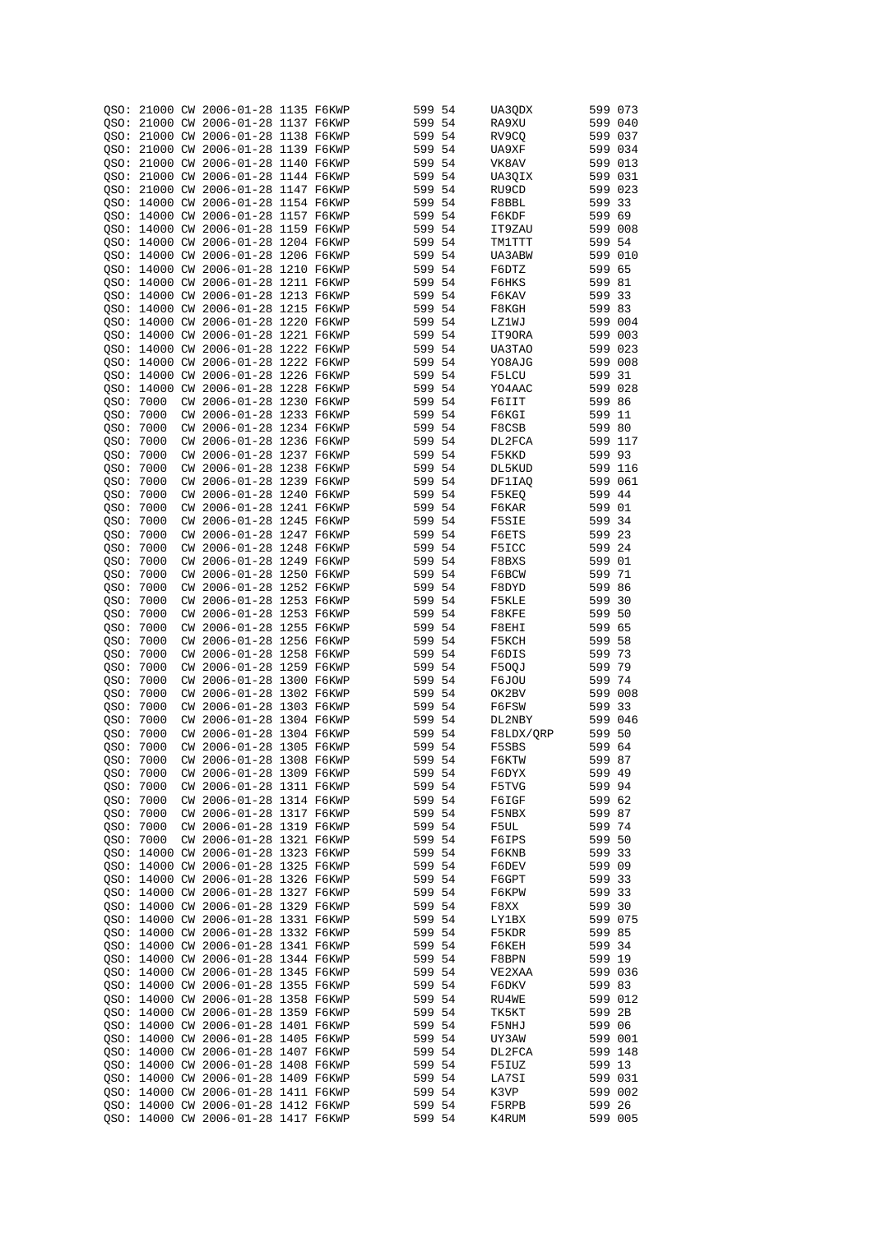| OSO:      |           |    | 21000 CW 2006-01-28 1135 F6KWP      |  | 599 54 |     | UA3QDX    | 599 073 |         |
|-----------|-----------|----|-------------------------------------|--|--------|-----|-----------|---------|---------|
|           |           |    | OSO: 21000 CW 2006-01-28 1137 F6KWP |  | 599 54 |     | RA9XU     | 599 040 |         |
|           |           |    |                                     |  |        |     |           |         |         |
|           |           |    | OSO: 21000 CW 2006-01-28 1138 F6KWP |  | 599 54 |     | RV9CQ     | 599 037 |         |
|           |           |    | OSO: 21000 CW 2006-01-28 1139 F6KWP |  | 599 54 |     | UA9XF     | 599 034 |         |
| OSO:      |           |    | 21000 CW 2006-01-28 1140 F6KWP      |  | 599 54 |     | VK8AV     | 599 013 |         |
|           |           |    | OSO: 21000 CW 2006-01-28 1144 F6KWP |  | 599 54 |     | UA30IX    | 599 031 |         |
| OSO:      |           |    | 21000 CW 2006-01-28 1147 F6KWP      |  | 599 54 |     | RU9CD     | 599 023 |         |
|           |           |    |                                     |  |        |     |           |         |         |
|           |           |    | OSO: 14000 CW 2006-01-28 1154 F6KWP |  | 599 54 |     | F8BBL     | 599 33  |         |
| OSO:      |           |    | 14000 CW 2006-01-28 1157 F6KWP      |  | 599 54 |     | F6KDF     | 599 69  |         |
| QSO:      |           |    | 14000 CW 2006-01-28 1159 F6KWP      |  | 599 54 |     | IT9ZAU    | 599 008 |         |
| OSO:      |           |    | 14000 CW 2006-01-28 1204 F6KWP      |  | 599 54 |     | TM1TTT    | 599 54  |         |
| QSO:      |           |    | 14000 CW 2006-01-28 1206 F6KWP      |  | 599 54 |     | UA3ABW    | 599 010 |         |
|           |           |    |                                     |  |        |     |           |         |         |
|           |           |    | OSO: 14000 CW 2006-01-28 1210 F6KWP |  | 599 54 |     | F6DTZ     | 599 65  |         |
|           |           |    | QSO: 14000 CW 2006-01-28 1211 F6KWP |  | 599 54 |     | F6HKS     | 599 81  |         |
|           |           |    | OSO: 14000 CW 2006-01-28 1213 F6KWP |  | 599    | 54  | F6KAV     | 599 33  |         |
|           |           |    | OSO: 14000 CW 2006-01-28 1215 F6KWP |  | 599    | 54  | F8KGH     | 599 83  |         |
|           |           |    | OSO: 14000 CW 2006-01-28 1220 F6KWP |  | 599 54 |     | LZ1WJ     | 599 004 |         |
|           |           |    | QSO: 14000 CW 2006-01-28 1221 F6KWP |  |        |     |           |         |         |
|           |           |    |                                     |  | 599 54 |     | IT90RA    | 599 003 |         |
|           |           |    | QSO: 14000 CW 2006-01-28 1222 F6KWP |  | 599 54 |     | UA3TAO    | 599 023 |         |
|           |           |    | QSO: 14000 CW 2006-01-28 1222 F6KWP |  | 599    | 54  | Y08AJG    | 599 008 |         |
| OSO:      |           |    | 14000 CW 2006-01-28 1226 F6KWP      |  | 599 54 |     | F5LCU     | 599 31  |         |
| OSO:      |           |    | 14000 CW 2006-01-28 1228 F6KWP      |  | 599 54 |     | YO4AAC    | 599 028 |         |
|           |           |    |                                     |  |        |     |           |         |         |
| OSO:      | 7000      |    | CW 2006-01-28 1230 F6KWP            |  | 599 54 |     | F6IIT     | 599 86  |         |
| OSO:      | 7000      | СW | 2006-01-28 1233 F6KWP               |  | 599 54 |     | F6KGI     | 599 11  |         |
| QSO:      | 7000      |    | CW 2006-01-28 1234 F6KWP            |  | 599 54 |     | F8CSB     | 599 80  |         |
| QSO:      | 7000      |    | CW 2006-01-28 1236 F6KWP            |  | 599 54 |     | DL2FCA    | 599 117 |         |
| OSO:      | 7000      | CW | 2006-01-28 1237 F6KWP               |  | 599 54 |     | F5KKD     | 599 93  |         |
|           |           |    |                                     |  |        |     |           |         |         |
| QSO:      | 7000      | СW | 2006-01-28 1238 F6KWP               |  | 599    | 54  | DL5KUD    | 599 116 |         |
| OSO:      | 7000      | СW | 2006-01-28 1239 F6KWP               |  | 599 54 |     | DF1IAQ    | 599 061 |         |
| QSO:      | 7000      | СW | 2006-01-28 1240 F6KWP               |  | 599 54 |     | F5KEQ     | 599     | 44      |
| OSO:      | 7000      | СW | 2006-01-28 1241 F6KWP               |  | 599 54 |     | F6KAR     | 599 01  |         |
| QSO:      | 7000      | СW | 2006-01-28 1245 F6KWP               |  | 599    | 54  | F5SIE     | 599     | 34      |
|           |           |    |                                     |  |        |     |           |         |         |
| QSO: 7000 |           | СW | 2006-01-28 1247 F6KWP               |  | 599 54 |     | F6ETS     | 599 23  |         |
| QSO:      | 7000      | СW | 2006-01-28 1248 F6KWP               |  | 599    | -54 | F5ICC     | 599     | 24      |
| QSO: 7000 |           | СW | 2006-01-28 1249 F6KWP               |  | 599 54 |     | F8BXS     | 599 01  |         |
| QSO:      | 7000      | СW | 2006-01-28 1250 F6KWP               |  | 599    | -54 | F6BCW     | 599     | 71      |
| QSO: 7000 |           | СW | 2006-01-28 1252 F6KWP               |  | 599 54 |     | F8DYD     | 599 86  |         |
|           |           |    |                                     |  |        |     |           |         |         |
| QSO:      | 7000      | СW | 2006-01-28 1253 F6KWP               |  | 599    | 54  | F5KLE     | 599     | 30      |
| OSO: 7000 |           | СW | 2006-01-28 1253 F6KWP               |  | 599    | -54 | F8KFE     | 599 50  |         |
| QSO:      | 7000      | СW | 2006-01-28 1255 F6KWP               |  | 599    | 54  | F8EHI     | 599     | 65      |
| QSO: 7000 |           | СW | 2006-01-28 1256 F6KWP               |  | 599 54 |     | F5KCH     | 599 58  |         |
| QSO:      | 7000      | СW | 2006-01-28 1258 F6KWP               |  | 599    | 54  | F6DIS     | 599     | -73     |
|           |           |    | 2006-01-28 1259 F6KWP               |  | 599 54 |     |           |         |         |
| QSO: 7000 |           | CW |                                     |  |        |     | F50QJ     | 599 79  |         |
| QSO: 7000 |           | СW | 2006-01-28 1300 F6KWP               |  | 599    | -54 | F6JOU     | 599     | 74      |
| QSO: 7000 |           | СW | 2006-01-28 1302 F6KWP               |  | 599 54 |     | OK2BV     | 599 008 |         |
| QSO: 7000 |           | CW | 2006-01-28 1303 F6KWP               |  | 599 54 |     | F6FSW     | 599     | 33      |
| QSO: 7000 |           | СW | 2006-01-28 1304 F6KWP               |  | 599 54 |     | DL2NBY    | 599 046 |         |
|           |           |    |                                     |  |        |     |           |         |         |
| QSO:      | 7000      | СW | 2006-01-28 1304 F6KWP               |  | 599 54 |     | F8LDX/ORP | 599     | 50      |
| QSO: 7000 |           |    | CW 2006-01-28 1305 F6KWP            |  | 599 54 |     | F5SBS     | 599 64  |         |
| QSO: 7000 |           |    | CW 2006-01-28 1308 F6KWP            |  | 599 54 |     | F6KTW     | 599 87  |         |
|           | QSO: 7000 |    | CW 2006-01-28 1309 F6KWP            |  | 599 54 |     | F6DYX     | 599 49  |         |
|           | QSO: 7000 |    | CW 2006-01-28 1311 F6KWP            |  | 599 54 |     | F5TVG     | 599 94  |         |
|           |           |    |                                     |  |        |     |           |         |         |
|           | OSO: 7000 |    | CW 2006-01-28 1314 F6KWP            |  | 599 54 |     | F6IGF     | 599 62  |         |
|           | QSO: 7000 |    | CW 2006-01-28 1317 F6KWP            |  | 599 54 |     | F5NBX     | 599 87  |         |
|           | QSO: 7000 |    | CW 2006-01-28 1319 F6KWP            |  | 599 54 |     | F5UL      | 599 74  |         |
|           | OSO: 7000 |    | CW 2006-01-28 1321 F6KWP            |  | 599 54 |     | F6IPS     | 599 50  |         |
|           |           |    | QSO: 14000 CW 2006-01-28 1323 F6KWP |  | 599 54 |     | F6KNB     | 599 33  |         |
|           |           |    | QSO: 14000 CW 2006-01-28 1325 F6KWP |  |        |     |           | 599 09  |         |
|           |           |    |                                     |  | 599 54 |     | F6DEV     |         |         |
|           |           |    | OSO: 14000 CW 2006-01-28 1326 F6KWP |  | 599 54 |     | F6GPT     | 599 33  |         |
|           |           |    | QSO: 14000 CW 2006-01-28 1327 F6KWP |  | 599 54 |     | F6KPW     | 599 33  |         |
|           |           |    | QSO: 14000 CW 2006-01-28 1329 F6KWP |  | 599 54 |     | F8XX      | 599 30  |         |
|           |           |    | QSO: 14000 CW 2006-01-28 1331 F6KWP |  | 599 54 |     | LY1BX     |         | 599 075 |
|           |           |    |                                     |  |        |     |           |         |         |
|           |           |    | QSO: 14000 CW 2006-01-28 1332 F6KWP |  | 599 54 |     | F5KDR     | 599 85  |         |
|           |           |    | OSO: 14000 CW 2006-01-28 1341 F6KWP |  | 599 54 |     | F6KEH     | 599 34  |         |
|           |           |    | QSO: 14000 CW 2006-01-28 1344 F6KWP |  | 599 54 |     | F8BPN     | 599 19  |         |
|           |           |    | QSO: 14000 CW 2006-01-28 1345 F6KWP |  | 599 54 |     | VE2XAA    |         | 599 036 |
|           |           |    | QSO: 14000 CW 2006-01-28 1355 F6KWP |  | 599 54 |     | F6DKV     | 599 83  |         |
|           |           |    |                                     |  |        |     |           |         |         |
|           |           |    | QSO: 14000 CW 2006-01-28 1358 F6KWP |  | 599 54 |     | RU4WE     |         | 599 012 |
|           |           |    | QSO: 14000 CW 2006-01-28 1359 F6KWP |  | 599 54 |     | TK5KT     | 599 2B  |         |
|           |           |    | QSO: 14000 CW 2006-01-28 1401 F6KWP |  | 599 54 |     | F5NHJ     | 599 06  |         |
|           |           |    | QSO: 14000 CW 2006-01-28 1405 F6KWP |  | 599 54 |     | UY3AW     | 599 001 |         |
|           |           |    | QSO: 14000 CW 2006-01-28 1407 F6KWP |  | 599 54 |     | DL2FCA    |         | 599 148 |
|           |           |    |                                     |  |        |     |           |         |         |
|           |           |    | QSO: 14000 CW 2006-01-28 1408 F6KWP |  | 599 54 |     | F5IUZ     | 599 13  |         |
|           |           |    | QSO: 14000 CW 2006-01-28 1409 F6KWP |  | 599 54 |     | LA7SI     |         | 599 031 |
|           |           |    | QSO: 14000 CW 2006-01-28 1411 F6KWP |  | 599 54 |     | K3VP      |         | 599 002 |
|           |           |    | QSO: 14000 CW 2006-01-28 1412 F6KWP |  | 599 54 |     | F5RPB     | 599 26  |         |
|           |           |    | QSO: 14000 CW 2006-01-28 1417 F6KWP |  | 599 54 |     | K4RUM     | 599 005 |         |
|           |           |    |                                     |  |        |     |           |         |         |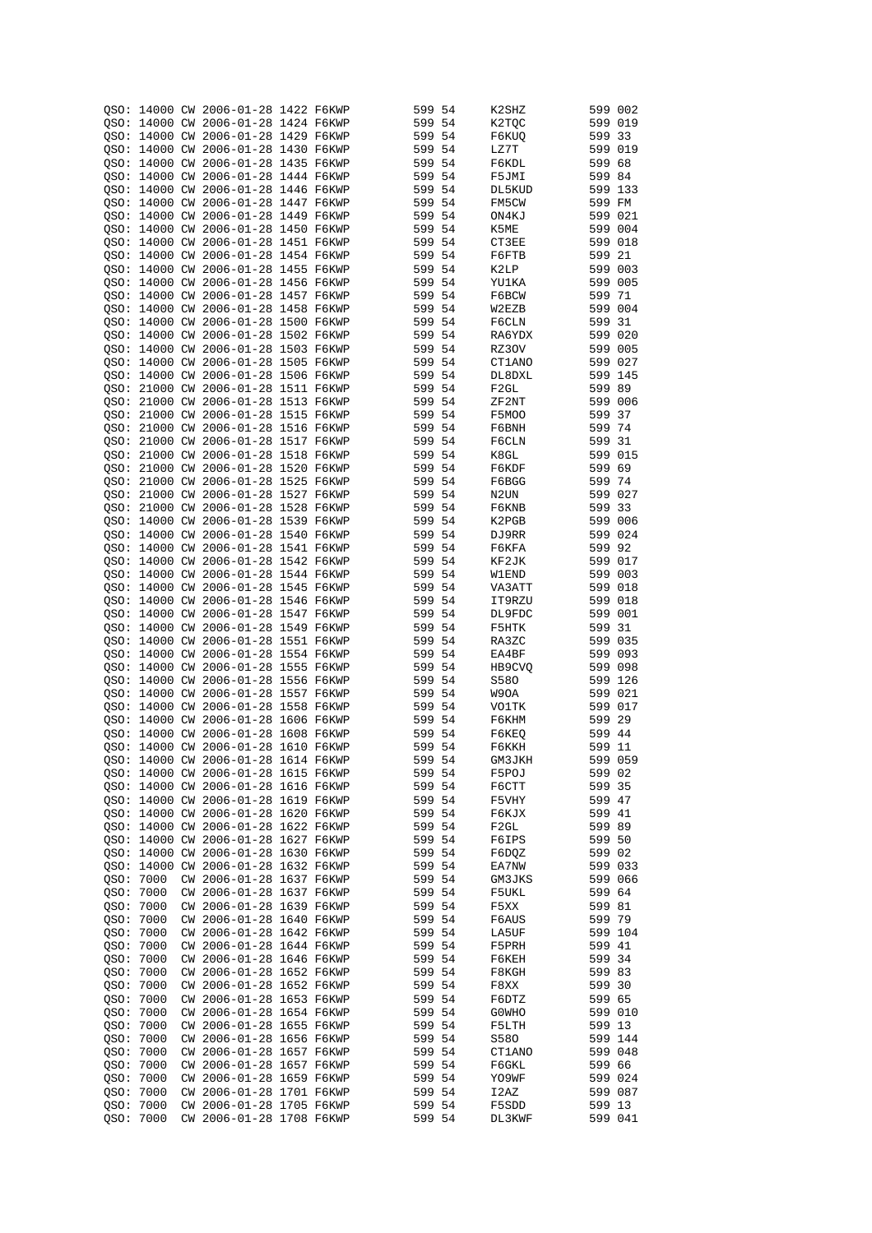|           |           | OSO: 14000 CW 2006-01-28 1422 F6KWP |  | 599 54 |     | K2SHZ             | 599 002 |     |
|-----------|-----------|-------------------------------------|--|--------|-----|-------------------|---------|-----|
|           |           |                                     |  |        |     |                   |         |     |
|           |           | OSO: 14000 CW 2006-01-28 1424 F6KWP |  | 599 54 |     | K2TQC             | 599 019 |     |
|           |           | OSO: 14000 CW 2006-01-28 1429 F6KWP |  | 599 54 |     | F6KUQ             | 599 33  |     |
|           |           | OSO: 14000 CW 2006-01-28 1430 F6KWP |  | 599 54 |     | LZ7T              | 599 019 |     |
|           |           |                                     |  |        |     |                   |         |     |
|           |           | OSO: 14000 CW 2006-01-28 1435 F6KWP |  | 599 54 |     | F6KDL             | 599 68  |     |
|           |           | OSO: 14000 CW 2006-01-28 1444 F6KWP |  | 599 54 |     | F5JMI             | 599 84  |     |
|           |           | QSO: 14000 CW 2006-01-28 1446 F6KWP |  | 599 54 |     | DL5KUD            | 599 133 |     |
|           |           |                                     |  |        |     |                   |         |     |
|           |           | QSO: 14000 CW 2006-01-28 1447 F6KWP |  | 599 54 |     | FM5CW             | 599 FM  |     |
|           |           | OSO: 14000 CW 2006-01-28 1449 F6KWP |  | 599    | 54  | ON4KJ             | 599 021 |     |
|           |           | OSO: 14000 CW 2006-01-28 1450 F6KWP |  | 599 54 |     | K5ME              | 599 004 |     |
|           |           |                                     |  |        |     |                   |         |     |
|           |           | OSO: 14000 CW 2006-01-28 1451 F6KWP |  | 599 54 |     | CT3EE             | 599 018 |     |
|           |           | OSO: 14000 CW 2006-01-28 1454 F6KWP |  | 599    | 54  | F6FTB             | 599 21  |     |
|           |           | OSO: 14000 CW 2006-01-28 1455 F6KWP |  | 599 54 |     | K2LP              | 599 003 |     |
|           |           |                                     |  |        |     |                   |         |     |
|           |           | QSO: 14000 CW 2006-01-28 1456 F6KWP |  | 599 54 |     | YU1KA             | 599 005 |     |
| OSO:      |           | 14000 CW 2006-01-28 1457 F6KWP      |  | 599 54 |     | F6BCW             | 599 71  |     |
| OSO:      |           | 14000 CW 2006-01-28 1458 F6KWP      |  | 599 54 |     | W2EZB             | 599 004 |     |
|           |           |                                     |  | 599 54 |     |                   |         |     |
|           |           | QSO: 14000 CW 2006-01-28 1500 F6KWP |  |        |     | F6CLN             | 599 31  |     |
|           |           | QSO: 14000 CW 2006-01-28 1502 F6KWP |  | 599 54 |     | RA6YDX            | 599 020 |     |
| OSO:      |           | 14000 CW 2006-01-28 1503 F6KWP      |  | 599 54 |     | RZ30V             | 599 005 |     |
|           |           | 14000 CW 2006-01-28 1505 F6KWP      |  | 599 54 |     |                   | 599 027 |     |
| QSO:      |           |                                     |  |        |     | CT1ANO            |         |     |
|           |           | OSO: 14000 CW 2006-01-28 1506 F6KWP |  | 599 54 |     | DL8DXL            | 599 145 |     |
| OSO:      |           | 21000 CW 2006-01-28 1511 F6KWP      |  | 599 54 |     | F <sub>2GL</sub>  | 599 89  |     |
| OSO:      |           | 21000 CW 2006-01-28 1513 F6KWP      |  | 599 54 |     | ZF2NT             | 599 006 |     |
|           |           |                                     |  |        |     |                   |         |     |
| OSO:      |           | 21000 CW 2006-01-28 1515 F6KWP      |  | 599 54 |     | F5MOO             | 599     | 37  |
| OSO:      |           | 21000 CW 2006-01-28 1516 F6KWP      |  | 599 54 |     | F6BNH             | 599 74  |     |
| OSO:      |           | 21000 CW 2006-01-28 1517 F6KWP      |  | 599 54 |     | F6CLN             | 599     | -31 |
|           |           |                                     |  |        |     |                   |         |     |
| OSO:      |           | 21000 CW 2006-01-28 1518 F6KWP      |  | 599 54 |     | K8GL              | 599 015 |     |
| QSO:      |           | 21000 CW 2006-01-28 1520 F6KWP      |  | 599    | -54 | F6KDF             | 599     | 69  |
|           |           | QSO: 21000 CW 2006-01-28 1525 F6KWP |  | 599 54 |     | F6BGG             | 599 74  |     |
|           |           |                                     |  |        |     |                   |         |     |
| QSO:      |           | 21000 CW 2006-01-28 1527 F6KWP      |  | 599    | -54 | N <sub>2</sub> UN | 599 027 |     |
|           |           | QSO: 21000 CW 2006-01-28 1528 F6KWP |  | 599 54 |     | F6KNB             | 599 33  |     |
| QSO:      |           | 14000 CW 2006-01-28 1539 F6KWP      |  | 599    | 54  | K2PGB             | 599 006 |     |
|           |           |                                     |  |        |     |                   |         |     |
|           |           | OSO: 14000 CW 2006-01-28 1540 F6KWP |  | 599 54 |     | DJ9RR             | 599 024 |     |
|           |           | OSO: 14000 CW 2006-01-28 1541 F6KWP |  | 599    | 54  | F6KFA             | 599 92  |     |
|           |           | OSO: 14000 CW 2006-01-28 1542 F6KWP |  | 599 54 |     | KF2JK             | 599 017 |     |
|           |           |                                     |  |        |     |                   |         |     |
|           |           | OSO: 14000 CW 2006-01-28 1544 F6KWP |  | 599    | 54  | W1END             | 599 003 |     |
|           |           | OSO: 14000 CW 2006-01-28 1545 F6KWP |  | 599 54 |     | VA3ATT            | 599 018 |     |
|           |           | OSO: 14000 CW 2006-01-28 1546 F6KWP |  | 599 54 |     | IT9RZU            | 599 018 |     |
|           |           |                                     |  |        |     |                   |         |     |
|           |           | OSO: 14000 CW 2006-01-28 1547 F6KWP |  | 599 54 |     | DL9FDC            | 599 001 |     |
|           |           | OSO: 14000 CW 2006-01-28 1549 F6KWP |  | 599 54 |     | F5HTK             | 599     | -31 |
|           |           | OSO: 14000 CW 2006-01-28 1551 F6KWP |  | 599 54 |     | RA3ZC             | 599 035 |     |
|           |           | OSO: 14000 CW 2006-01-28 1554 F6KWP |  | 599 54 |     |                   | 599 093 |     |
|           |           |                                     |  |        |     | EA4BF             |         |     |
|           |           | OSO: 14000 CW 2006-01-28 1555 F6KWP |  | 599 54 |     | HB9CVQ            | 599 098 |     |
|           |           | OSO: 14000 CW 2006-01-28 1556 F6KWP |  | 599 54 |     | S580              | 599 126 |     |
|           |           | OSO: 14000 CW 2006-01-28 1557 F6KWP |  | 599 54 |     | W9OA              | 599 021 |     |
|           |           |                                     |  |        |     |                   |         |     |
|           |           | OSO: 14000 CW 2006-01-28 1558 F6KWP |  | 599 54 |     | VO1TK             | 599 017 |     |
|           |           | OSO: 14000 CW 2006-01-28 1606 F6KWP |  | 599 54 |     | F6KHM             | 599 29  |     |
|           |           | OSO: 14000 CW 2006-01-28 1608 F6KWP |  | 599 54 |     | F6KEQ             | 599 44  |     |
|           |           |                                     |  |        |     |                   |         |     |
|           |           | OSO: 14000 CW 2006-01-28 1610 F6KWP |  | 599 54 |     | F6KKH             | 599 11  |     |
|           |           | QSO: 14000 CW 2006-01-28 1614 F6KWP |  | 599 54 |     | GM3JKH            | 599 059 |     |
|           |           | QSO: 14000 CW 2006-01-28 1615 F6KWP |  | 599 54 |     | F5POJ             | 599 02  |     |
|           |           |                                     |  |        |     |                   |         |     |
|           |           | QSO: 14000 CW 2006-01-28 1616 F6KWP |  | 599 54 |     | F6CTT             | 599 35  |     |
|           |           | OSO: 14000 CW 2006-01-28 1619 F6KWP |  | 599 54 |     | F5VHY             | 599 47  |     |
|           |           | OSO: 14000 CW 2006-01-28 1620 F6KWP |  | 599 54 |     | F6KJX             | 599 41  |     |
|           |           |                                     |  |        |     |                   |         |     |
|           |           | QSO: 14000 CW 2006-01-28 1622 F6KWP |  | 599 54 |     | F2GL              | 599 89  |     |
|           |           | QSO: 14000 CW 2006-01-28 1627 F6KWP |  | 599 54 |     | F6IPS             | 599 50  |     |
|           |           | QSO: 14000 CW 2006-01-28 1630 F6KWP |  | 599 54 |     | F6DOZ             | 599 02  |     |
|           |           | QSO: 14000 CW 2006-01-28 1632 F6KWP |  | 599 54 |     | EA7NW             | 599 033 |     |
|           |           |                                     |  |        |     |                   |         |     |
|           | QSO: 7000 | CW 2006-01-28 1637 F6KWP            |  | 599 54 |     | GM3JKS            | 599 066 |     |
|           | QSO: 7000 | CW 2006-01-28 1637 F6KWP            |  | 599 54 |     | F5UKL             | 599 64  |     |
|           | OSO: 7000 | CW 2006-01-28 1639 F6KWP            |  | 599 54 |     | F5XX              | 599 81  |     |
|           |           |                                     |  |        |     |                   |         |     |
|           | OSO: 7000 | CW 2006-01-28 1640 F6KWP            |  | 599 54 |     | F6AUS             | 599 79  |     |
|           | OSO: 7000 | CW 2006-01-28 1642 F6KWP            |  | 599 54 |     | LA5UF             | 599 104 |     |
| QSO: 7000 |           | CW 2006-01-28 1644 F6KWP            |  | 599 54 |     | F5PRH             | 599 41  |     |
|           |           |                                     |  |        |     |                   |         |     |
| QSO: 7000 |           | CW 2006-01-28 1646 F6KWP            |  | 599 54 |     | F6KEH             | 599 34  |     |
| QSO: 7000 |           | CW 2006-01-28 1652 F6KWP            |  | 599 54 |     | F8KGH             | 599 83  |     |
| QSO: 7000 |           | CW 2006-01-28 1652 F6KWP            |  | 599 54 |     | F8XX              | 599 30  |     |
|           |           | CW 2006-01-28 1653 F6KWP            |  |        |     |                   |         |     |
| QSO: 7000 |           |                                     |  | 599 54 |     | F6DTZ             | 599 65  |     |
| QSO: 7000 |           | CW 2006-01-28 1654 F6KWP            |  | 599 54 |     | G0WHO             | 599 010 |     |
| QSO: 7000 |           | CW 2006-01-28 1655 F6KWP            |  | 599 54 |     | F5LTH             | 599 13  |     |
| QSO: 7000 |           | CW 2006-01-28 1656 F6KWP            |  | 599 54 |     | S580              | 599 144 |     |
|           |           |                                     |  |        |     |                   |         |     |
| QSO: 7000 |           | CW 2006-01-28 1657 F6KWP            |  | 599 54 |     | CT1ANO            | 599 048 |     |
| QSO: 7000 |           | CW 2006-01-28 1657 F6KWP            |  | 599 54 |     | F6GKL             | 599 66  |     |
|           | QSO: 7000 | CW 2006-01-28 1659 F6KWP            |  | 599 54 |     | YO9WF             | 599 024 |     |
|           |           |                                     |  |        |     |                   |         |     |
| QSO: 7000 |           | CW 2006-01-28 1701 F6KWP            |  | 599 54 |     | I2AZ              | 599 087 |     |
| QSO: 7000 |           | CW 2006-01-28 1705 F6KWP            |  | 599 54 |     | F5SDD             | 599 13  |     |
| QSO: 7000 |           | CW 2006-01-28 1708 F6KWP            |  | 599 54 |     | DL3KWF            | 599 041 |     |
|           |           |                                     |  |        |     |                   |         |     |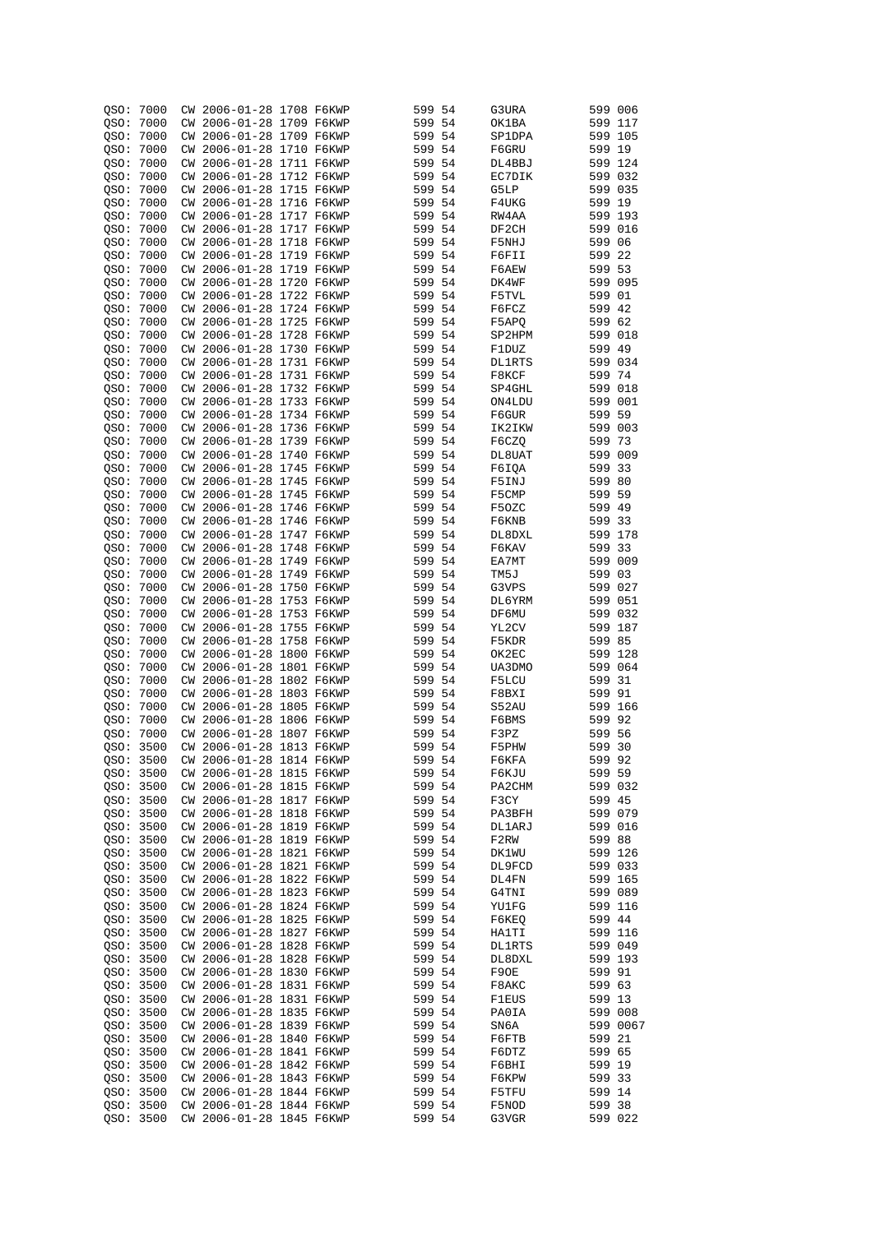| QSO:      | 7000      |           | CW 2006-01-28 1708 F6KWP |  | 599    | -54  | G3URA         | 599 006 |          |
|-----------|-----------|-----------|--------------------------|--|--------|------|---------------|---------|----------|
|           |           |           |                          |  |        |      |               |         |          |
| OSO: 7000 |           |           | CW 2006-01-28 1709 F6KWP |  | 599 54 |      | OK1BA         | 599 117 |          |
| OSO: 7000 |           |           | CW 2006-01-28 1709 F6KWP |  | 599 54 |      | SP1DPA        | 599 105 |          |
|           |           |           |                          |  |        |      |               |         |          |
| QSO:      | 7000      |           | CW 2006-01-28 1710 F6KWP |  | 599 54 |      | F6GRU         | 599 19  |          |
| QSO:      | 7000      |           | CW 2006-01-28 1711 F6KWP |  | 599 54 |      | DL4BBJ        | 599 124 |          |
| QSO:      | 7000      |           | CW 2006-01-28 1712 F6KWP |  | 599 54 |      | EC7DIK        | 599 032 |          |
|           |           |           |                          |  |        |      |               |         |          |
| QSO:      | 7000      |           | CW 2006-01-28 1715 F6KWP |  | 599 54 |      | G5LP          | 599 035 |          |
| QSO:      | 7000      |           | CW 2006-01-28 1716 F6KWP |  | 599 54 |      | F4UKG         | 599 19  |          |
| OSO:      | 7000      |           | CW 2006-01-28 1717 F6KWP |  | 599 54 |      | RW4AA         | 599 193 |          |
|           |           |           |                          |  |        |      |               |         |          |
| QSO:      | 7000      |           | CW 2006-01-28 1717 F6KWP |  | 599 54 |      | DF2CH         | 599 016 |          |
| QSO:      | 7000      |           | CW 2006-01-28 1718 F6KWP |  | 599 54 |      | F5NHJ         | 599 06  |          |
| QSO:      | 7000      |           | CW 2006-01-28 1719 F6KWP |  | 599 54 |      | F6FII         | 599 22  |          |
|           |           |           |                          |  | 599 54 |      |               |         |          |
| QSO:      | 7000      |           | CW 2006-01-28 1719 F6KWP |  |        |      | F6AEW         | 599 53  |          |
| QSO:      | 7000      |           | CW 2006-01-28 1720 F6KWP |  | 599 54 |      | DK4WF         | 599 095 |          |
| OSO:      | 7000      |           | CW 2006-01-28 1722 F6KWP |  | 599 54 |      | F5TVL         | 599 01  |          |
|           |           |           |                          |  | 599 54 |      |               | 599 42  |          |
| QSO:      | 7000      |           | CW 2006-01-28 1724 F6KWP |  |        |      | F6FCZ         |         |          |
| QSO:      | 7000      |           | CW 2006-01-28 1725 F6KWP |  | 599 54 |      | F5APQ         | 599 62  |          |
| QSO:      | 7000      |           | CW 2006-01-28 1728 F6KWP |  | 599 54 |      | SP2HPM        | 599 018 |          |
|           | 7000      |           | CW 2006-01-28 1730 F6KWP |  | 599 54 |      |               | 599 49  |          |
| QSO:      |           |           |                          |  |        |      | F1DUZ         |         |          |
| QSO:      | 7000      |           | CW 2006-01-28 1731 F6KWP |  | 599 54 |      | <b>DL1RTS</b> | 599 034 |          |
| OSO:      | 7000      |           | CW 2006-01-28 1731 F6KWP |  | 599 54 |      | F8KCF         | 599 74  |          |
| QSO:      | 7000      |           | CW 2006-01-28 1732 F6KWP |  | 599    | 54   | SP4GHL        | 599 018 |          |
|           |           |           |                          |  |        |      |               |         |          |
| OSO:      | 7000      |           | CW 2006-01-28 1733 F6KWP |  | 599 54 |      | ON4LDU        | 599 001 |          |
| QSO:      | 7000      | CW.       | 2006-01-28 1734 F6KWP    |  | 599    | 54   | F6GUR         | 599 59  |          |
| QSO: 7000 |           |           | CW 2006-01-28 1736 F6KWP |  | 599 54 |      | IK2IKW        | 599 003 |          |
|           |           |           |                          |  |        |      |               |         |          |
| QSO:      | 7000      | CW        | 2006-01-28 1739 F6KWP    |  | 599    | - 54 | F6CZO         | 599 73  |          |
| QSO:      | 7000      | CW        | 2006-01-28 1740 F6KWP    |  | 599 54 |      | DL8UAT        | 599 009 |          |
| QSO:      | 7000      | CM        | 2006-01-28 1745 F6KWP    |  | 599    | 54   | F6IQA         | 599     | 33       |
| QSO: 7000 |           | CW        | 2006-01-28 1745 F6KWP    |  | 599 54 |      |               | 599 80  |          |
|           |           |           |                          |  |        |      | F5INJ         |         |          |
| QSO:      | 7000      | CW        | 2006-01-28 1745 F6KWP    |  | 599    | 54   | F5CMP         | 599     | 59       |
| QSO: 7000 |           | CW        | 2006-01-28 1746 F6KWP    |  | 599 54 |      | F50ZC         | 599 49  |          |
| OSO:      | 7000      | CW        | 2006-01-28 1746 F6KWP    |  | 599    | 54   | F6KNB         | 599     | 33       |
|           |           |           |                          |  |        |      |               |         |          |
| OSO: 7000 |           | CW        | 2006-01-28 1747 F6KWP    |  | 599 54 |      | DL8DXL        | 599 178 |          |
| QSO:      | 7000      | CW        | 2006-01-28 1748 F6KWP    |  | 599    | 54   | F6KAV         | 599     | 33       |
| OSO: 7000 |           | CW        | 2006-01-28 1749 F6KWP    |  | 599 54 |      | EA7MT         | 599 009 |          |
|           | 7000      | CW        | 2006-01-28 1749 F6KWP    |  | 599    | 54   | TM5J          | 599 03  |          |
| QSO:      |           |           |                          |  |        |      |               |         |          |
| OSO: 7000 |           | CW        | 2006-01-28 1750 F6KWP    |  | 599 54 |      | G3VPS         | 599 027 |          |
| QSO: 7000 |           | CW        | 2006-01-28 1753 F6KWP    |  | 599    | -54  | DL6YRM        | 599 051 |          |
| OSO: 7000 |           | CW        | 2006-01-28 1753 F6KWP    |  | 599 54 |      | DF6MU         | 599 032 |          |
|           |           |           |                          |  |        |      |               |         |          |
| QSO: 7000 |           | CW        | 2006-01-28 1755 F6KWP    |  | 599    | -54  | YL2CV         | 599 187 |          |
| QSO: 7000 |           | CW        | 2006-01-28 1758 F6KWP    |  | 599 54 |      | F5KDR         | 599 85  |          |
| QSO: 7000 |           | CW        | 2006-01-28 1800 F6KWP    |  | 599 54 |      | OK2EC         | 599 128 |          |
| QSO: 7000 |           | CW        | 2006-01-28 1801 F6KWP    |  | 599 54 |      |               | 599 064 |          |
|           |           |           |                          |  |        |      | UA3DMO        |         |          |
| OSO:      | 7000      | <b>CW</b> | 2006-01-28 1802 F6KWP    |  | 599    | -54  | F5LCU         | 599 31  |          |
| QSO:      | 7000      | CW.       | 2006-01-28 1803 F6KWP    |  | 599 54 |      | F8BXI         | 599 91  |          |
| QSO:      | 7000      |           | CW 2006-01-28 1805 F6KWP |  | 599 54 |      | S52AU         | 599 166 |          |
|           |           |           |                          |  |        |      |               |         |          |
| OSO:      | 7000      | CW        | 2006-01-28 1806 F6KWP    |  | 599 54 |      | F6BMS         | 599 92  |          |
| OSO:      | 7000      | CW        | 2006-01-28 1807 F6KWP    |  | 599 54 |      | F3PZ          | 599 56  |          |
| QSO:      | 3500      |           | CW 2006-01-28 1813 F6KWP |  | 599 54 |      | F5PHW         | 599 30  |          |
|           |           |           |                          |  |        |      |               |         |          |
| QSO: 3500 |           |           | CW 2006-01-28 1814 F6KWP |  | 599 54 |      | F6KFA         | 599 92  |          |
|           | QSO: 3500 |           | CW 2006-01-28 1815 F6KWP |  | 599 54 |      | F6KJU         | 599 59  |          |
|           | QSO: 3500 |           | CW 2006-01-28 1815 F6KWP |  | 599 54 |      | PA2CHM        |         | 599 032  |
|           | QSO: 3500 |           | CW 2006-01-28 1817 F6KWP |  | 599 54 |      | F3CY          | 599 45  |          |
|           |           |           |                          |  |        |      |               |         |          |
| QSO: 3500 |           |           | CW 2006-01-28 1818 F6KWP |  | 599 54 |      | PA3BFH        | 599 079 |          |
|           | QSO: 3500 |           | CW 2006-01-28 1819 F6KWP |  | 599 54 |      | <b>DL1ARJ</b> | 599 016 |          |
|           | QSO: 3500 |           | CW 2006-01-28 1819 F6KWP |  | 599 54 |      | F2RW          | 599 88  |          |
|           |           |           |                          |  |        |      |               | 599 126 |          |
|           | QSO: 3500 |           | CW 2006-01-28 1821 F6KWP |  | 599 54 |      | DK1WU         |         |          |
|           | QSO: 3500 |           | CW 2006-01-28 1821 F6KWP |  | 599 54 |      | DL9FCD        | 599 033 |          |
|           | QSO: 3500 |           | CW 2006-01-28 1822 F6KWP |  | 599 54 |      | DL4FN         | 599 165 |          |
|           | QSO: 3500 |           | CW 2006-01-28 1823 F6KWP |  | 599 54 |      | G4TNI         | 599 089 |          |
|           |           |           |                          |  |        |      |               |         |          |
|           | OSO: 3500 |           | CW 2006-01-28 1824 F6KWP |  | 599 54 |      | YU1FG         | 599 116 |          |
|           | QSO: 3500 |           | CW 2006-01-28 1825 F6KWP |  | 599 54 |      | F6KEO         | 599 44  |          |
|           | QSO: 3500 |           | CW 2006-01-28 1827 F6KWP |  | 599 54 |      | HA1TI         | 599 116 |          |
|           |           |           |                          |  |        |      |               | 599 049 |          |
|           | QSO: 3500 |           | CW 2006-01-28 1828 F6KWP |  | 599 54 |      | DL1RTS        |         |          |
|           | QSO: 3500 |           | CW 2006-01-28 1828 F6KWP |  | 599 54 |      | DL8DXL        | 599 193 |          |
|           | QSO: 3500 |           | CW 2006-01-28 1830 F6KWP |  | 599 54 |      | F9OE          | 599 91  |          |
|           | QSO: 3500 |           | CW 2006-01-28 1831 F6KWP |  | 599 54 |      | F8AKC         | 599 63  |          |
|           |           |           |                          |  |        |      |               |         |          |
|           | QSO: 3500 |           | CW 2006-01-28 1831 F6KWP |  | 599 54 |      | <b>F1EUS</b>  | 599 13  |          |
|           | QSO: 3500 |           | CW 2006-01-28 1835 F6KWP |  | 599 54 |      | PA0IA         | 599 008 |          |
|           | QSO: 3500 |           | CW 2006-01-28 1839 F6KWP |  | 599 54 |      | SN6A          |         | 599 0067 |
| QSO: 3500 |           |           | CW 2006-01-28 1840 F6KWP |  | 599 54 |      | F6FTB         | 599 21  |          |
|           |           |           |                          |  |        |      |               |         |          |
| QSO: 3500 |           |           | CW 2006-01-28 1841 F6KWP |  | 599 54 |      | F6DTZ         | 599 65  |          |
| QSO: 3500 |           |           | CW 2006-01-28 1842 F6KWP |  | 599 54 |      | F6BHI         | 599 19  |          |
|           | QSO: 3500 |           | CW 2006-01-28 1843 F6KWP |  | 599 54 |      | F6KPW         | 599 33  |          |
|           |           |           |                          |  |        |      |               |         |          |
| QSO: 3500 |           |           | CW 2006-01-28 1844 F6KWP |  | 599 54 |      | F5TFU         | 599 14  |          |
| QSO: 3500 |           |           | CW 2006-01-28 1844 F6KWP |  | 599 54 |      | F5NOD         | 599 38  |          |
|           | QSO: 3500 |           | CW 2006-01-28 1845 F6KWP |  | 599 54 |      | G3VGR         | 599 022 |          |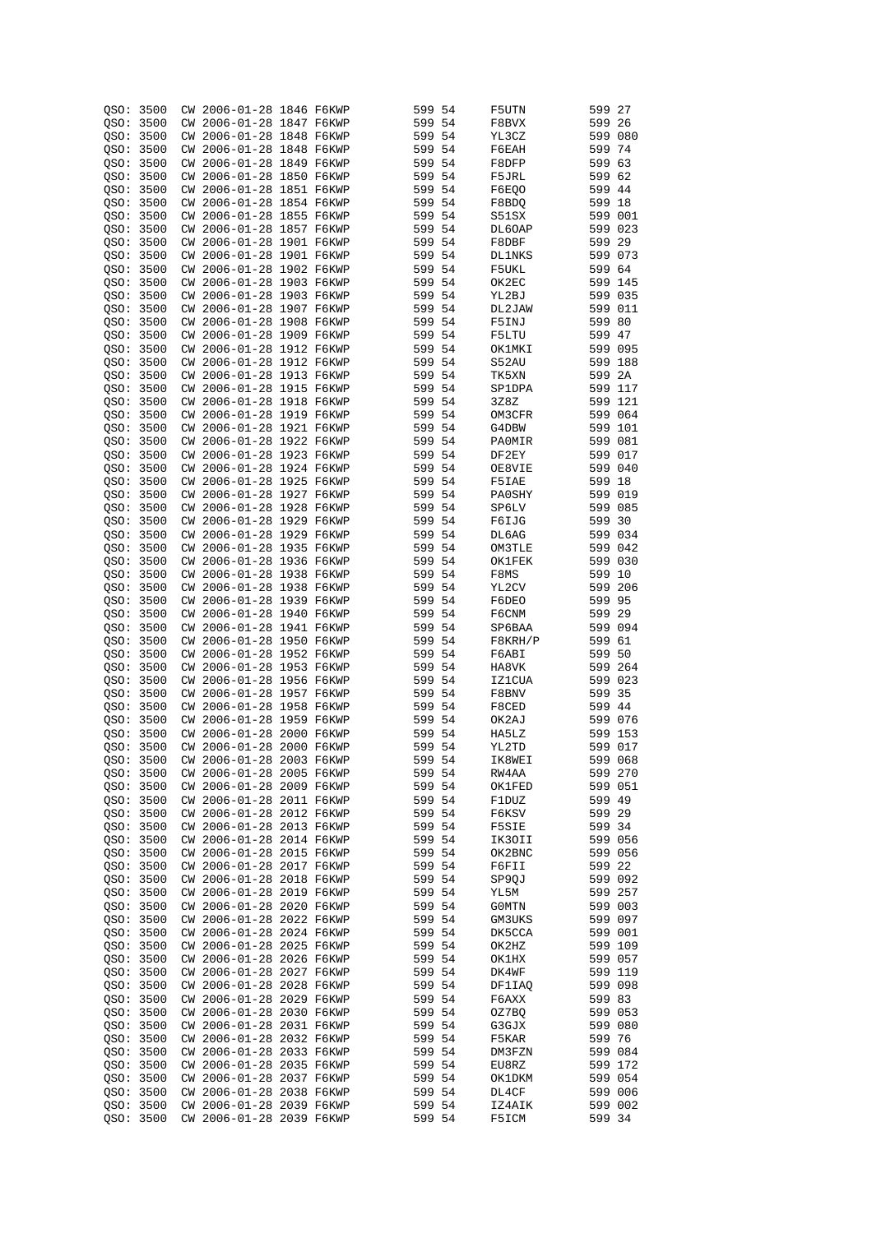| QSO:      | 3500                   |    | CW 2006-01-28 1846 F6KWP |  | 599 54 |      | F5UTN         | 599               | 27  |
|-----------|------------------------|----|--------------------------|--|--------|------|---------------|-------------------|-----|
|           | QSO: 3500              | СW | 2006-01-28 1847 F6KWP    |  | 599 54 |      | F8BVX         | 599 26            |     |
|           |                        |    |                          |  |        |      |               |                   |     |
|           | QSO: 3500              | CW | 2006-01-28 1848 F6KWP    |  | 599 54 |      | YL3CZ         | 599 080           |     |
|           | OSO: 3500              |    | CW 2006-01-28 1848 F6KWP |  | 599 54 |      | F6EAH         | 599 74            |     |
|           | QSO: 3500              |    | CW 2006-01-28 1849 F6KWP |  | 599 54 |      | F8DFP         | 599 63            |     |
|           | QSO: 3500              |    | CW 2006-01-28 1850 F6KWP |  | 599 54 |      | F5JRL         | 599 62            |     |
|           | OSO: 3500              |    | CW 2006-01-28 1851 F6KWP |  | 599 54 |      | F6EOO         | 599 44            |     |
| OSO: 3500 |                        |    | CW 2006-01-28 1854 F6KWP |  | 599 54 |      | F8BDQ         | 599 18            |     |
| QSO:      | 3500                   |    | CW 2006-01-28 1855 F6KWP |  | 599 54 |      | S51SX         | 599 001           |     |
|           |                        |    |                          |  |        |      |               |                   |     |
| QSO:      | 3500                   | СW | 2006-01-28 1857 F6KWP    |  | 599 54 |      | DL6OAP        | 599 023           |     |
| OSO:      | 3500                   |    | CW 2006-01-28 1901 F6KWP |  | 599    | 54   | F8DBF         | 599 29            |     |
| QSO:      | 3500                   |    | CW 2006-01-28 1901 F6KWP |  | 599    | 54   | <b>DL1NKS</b> | 599 073           |     |
| QSO:      | 3500                   |    | CW 2006-01-28 1902 F6KWP |  | 599    | 54   | F5UKL         | 599 64            |     |
| QSO:      | 3500                   |    | CW 2006-01-28 1903 F6KWP |  | 599 54 |      | OK2EC         | 599 145           |     |
| QSO:      | 3500                   |    | CW 2006-01-28 1903 F6KWP |  | 599    | 54   | YL2BJ         | 599 035           |     |
| QSO:      | 3500                   |    | CW 2006-01-28 1907 F6KWP |  | 599 54 |      | DL2JAW        | 599               | 011 |
|           | QSO: 3500              |    | CW 2006-01-28 1908 F6KWP |  | 599 54 |      | F5INJ         | 599 80            |     |
|           |                        |    |                          |  |        |      |               |                   |     |
| QSO: 3500 |                        |    | CW 2006-01-28 1909 F6KWP |  | 599 54 |      | F5LTU         | 599 47            |     |
| QSO: 3500 |                        |    | CW 2006-01-28 1912 F6KWP |  | 599 54 |      | OK1MKI        | 599 095           |     |
| QSO:      | 3500                   | СW | 2006-01-28 1912 F6KWP    |  | 599 54 |      | S52AU         | 599 188           |     |
| QSO:      | 3500                   |    | CW 2006-01-28 1913 F6KWP |  | 599 54 |      | TK5XN         | 599 2A            |     |
| QSO:      | 3500                   | СW | 2006-01-28 1915 F6KWP    |  | 599 54 |      | SP1DPA        | 599 117           |     |
| QSO:      | 3500                   |    | CW 2006-01-28 1918 F6KWP |  | 599 54 |      | 3Z8Z          | 599 121           |     |
| QSO:      | 3500                   | СW | 2006-01-28 1919 F6KWP    |  | 599 54 |      | OM3CFR        | 599 064           |     |
| QSO:      | 3500                   |    | CW 2006-01-28 1921 F6KWP |  | 599 54 |      | G4DBW         | 599 101           |     |
|           |                        |    |                          |  |        |      |               |                   |     |
| OSO:      | 3500                   |    | CW 2006-01-28 1922 F6KWP |  | 599 54 |      | PAOMIR        | 599 081           |     |
| QSO:      | 3500                   |    | CW 2006-01-28 1923 F6KWP |  | 599 54 |      | DF2EY         | 599 017           |     |
| QSO:      | 3500                   | СW | 2006-01-28 1924 F6KWP    |  | 599 54 |      | OE8VIE        | 599               | 040 |
| QSO:      | 3500                   |    | CW 2006-01-28 1925 F6KWP |  | 599 54 |      | F5IAE         | 599 18            |     |
| QSO:      | 3500                   | СW | 2006-01-28 1927 F6KWP    |  | 599 54 |      | PA0SHY        | 599 019           |     |
| QSO:      | 3500                   | СW | 2006-01-28 1928 F6KWP    |  | 599 54 |      | SP6LV         | 599 085           |     |
| QSO:      | 3500                   | СW | 2006-01-28 1929 F6KWP    |  | 599    | 54   | F6IJG         | 599               | 30  |
|           | QSO: 3500              |    |                          |  |        |      |               | 599 034           |     |
|           |                        | СW | 2006-01-28 1929 F6KWP    |  | 599 54 |      | DL6AG         |                   |     |
| QSO:      | 3500                   | СW | 2006-01-28 1935 F6KWP    |  | 599    | 54   | OM3TLE        | 599               | 042 |
|           | QSO: 3500              | СW | 2006-01-28 1936 F6KWP    |  | 599 54 |      | OK1FEK        | 599 030           |     |
| QSO:      | 3500                   | СW | 2006-01-28 1938 F6KWP    |  | 599    | 54   | F8MS          | 599               | 10  |
|           | QSO: 3500              | СW | 2006-01-28 1938 F6KWP    |  | 599 54 |      | YL2CV         | 599 206           |     |
| QSO:      | 3500                   | СW | 2006-01-28 1939 F6KWP    |  | 599    | -54  | F6DEO         | 599               | 95  |
|           | QSO: 3500              | СW | 2006-01-28 1940 F6KWP    |  | 599 54 |      | F6CNM         | 599 29            |     |
| QSO:      | 3500                   | СW | 2006-01-28 1941 F6KWP    |  | 599    | - 54 | SP6BAA        | 599               | 094 |
| QSO: 3500 |                        | СW | 2006-01-28 1950 F6KWP    |  | 599 54 |      | F8KRH/P       | 599 61            |     |
|           |                        |    |                          |  |        |      |               |                   |     |
| QSO: 3500 |                        | СW | 2006-01-28 1952 F6KWP    |  | 599 54 |      | F6ABI         | 599               | 50  |
|           | OSO: 3500              | СW | 2006-01-28 1953 F6KWP    |  | 599 54 |      | HA8VK         | 599 264           |     |
| QSO:      | 3500                   | СW | 2006-01-28 1956 F6KWP    |  | 599    | 54   | IZ1CUA        | 599               | 023 |
|           | QSO: 3500              | СW | 2006-01-28 1957 F6KWP    |  | 599 54 |      | F8BNV         | 599 35            |     |
| QSO:      | 3500                   | СW | 2006-01-28 1958 F6KWP    |  | 599 54 |      | F8CED         | 599 44            |     |
|           | QSO: 3500              | СW | 2006-01-28 1959 F6KWP    |  | 599 54 |      | OK2AJ         | 599 076           |     |
| QSO:      | 3500                   | CW | 2006-01-28 2000 F6KWP    |  | 599 54 |      | HA5LZ         | 599 153           |     |
|           | QSO: 3500              |    | CW 2006-01-28 2000 F6KWP |  | 599 54 |      | YL2TD         | 599 017           |     |
|           | QSO: 3500              |    | CW 2006-01-28 2003 F6KWP |  | 599 54 |      |               | 599 068           |     |
|           |                        |    | CW 2006-01-28 2005 F6KWP |  |        |      | <b>IK8MEI</b> |                   |     |
|           | QSO: 3500              |    |                          |  | 599 54 |      | RW4AA         | 599 270           |     |
|           | QSO: 3500              |    | CW 2006-01-28 2009 F6KWP |  | 599 54 |      | <b>OK1FED</b> | 599 051           |     |
|           | QSO: 3500              |    | CW 2006-01-28 2011 F6KWP |  | 599 54 |      | F1DUZ         | 599 49            |     |
|           | QSO: 3500              |    | CW 2006-01-28 2012 F6KWP |  | 599 54 |      | F6KSV         | 599 29            |     |
|           | QSO: 3500              |    | CW 2006-01-28 2013 F6KWP |  | 599 54 |      | F5SIE         | 599 34            |     |
|           | OSO: 3500              |    | CW 2006-01-28 2014 F6KWP |  | 599 54 |      | IK30II        | 599 056           |     |
|           | QSO: 3500              |    | CW 2006-01-28 2015 F6KWP |  | 599 54 |      | OK2BNC        | 599 056           |     |
|           | QSO: 3500              |    | CW 2006-01-28 2017 F6KWP |  | 599 54 |      | F6FII         | 599 22            |     |
|           |                        |    |                          |  |        |      | SP9QJ         | 599 092           |     |
|           |                        |    |                          |  |        |      |               |                   |     |
|           | QSO: 3500              |    | CW 2006-01-28 2018 F6KWP |  | 599 54 |      |               |                   |     |
|           | QSO: 3500              |    | CW 2006-01-28 2019 F6KWP |  | 599 54 |      | YL5M          | 599 257           |     |
|           | QSO: 3500              |    | CW 2006-01-28 2020 F6KWP |  | 599 54 |      | G0MTN         | 599 003           |     |
|           | OSO: 3500              |    | CW 2006-01-28 2022 F6KWP |  | 599 54 |      | GM3UKS        | 599 097           |     |
|           | OSO: 3500              |    | CW 2006-01-28 2024 F6KWP |  | 599 54 |      | DK5CCA        | 599 001           |     |
|           | QSO: 3500              |    | CW 2006-01-28 2025 F6KWP |  | 599 54 |      | OK2HZ         | 599 109           |     |
|           | QSO: 3500              |    | CW 2006-01-28 2026 F6KWP |  | 599 54 |      | OK1HX         | 599 057           |     |
|           | QSO: 3500              |    | CW 2006-01-28 2027 F6KWP |  | 599 54 |      | DK4WF         | 599 119           |     |
|           |                        |    |                          |  |        |      |               |                   |     |
|           | QSO: 3500              |    | CW 2006-01-28 2028 F6KWP |  | 599 54 |      | DF1IAQ        | 599 098           |     |
|           | QSO: 3500              |    | CW 2006-01-28 2029 F6KWP |  | 599 54 |      | F6AXX         | 599 83            |     |
|           | QSO: 3500              |    | CW 2006-01-28 2030 F6KWP |  | 599 54 |      | OZ7BQ         | 599 053           |     |
|           | QSO: 3500              |    | CW 2006-01-28 2031 F6KWP |  | 599 54 |      | G3GJX         | 599 080           |     |
|           | QSO: 3500              |    | CW 2006-01-28 2032 F6KWP |  | 599 54 |      | F5KAR         | 599 76            |     |
|           | QSO: 3500              |    | CW 2006-01-28 2033 F6KWP |  | 599 54 |      | DM3FZN        | 599 084           |     |
|           | QSO: 3500              |    | CW 2006-01-28 2035 F6KWP |  | 599 54 |      | EU8RZ         | 599 172           |     |
|           | QSO: 3500              |    | CW 2006-01-28 2037 F6KWP |  | 599 54 |      | OK1DKM        | 599 054           |     |
|           | QSO: 3500              |    | CW 2006-01-28 2038 F6KWP |  | 599 54 |      | DL4CF         | 599 006           |     |
|           |                        |    | CW 2006-01-28 2039 F6KWP |  | 599 54 |      | IZ4AIK        |                   |     |
|           | QSO: 3500<br>QSO: 3500 |    | CW 2006-01-28 2039 F6KWP |  | 599 54 |      | F5ICM         | 599 002<br>599 34 |     |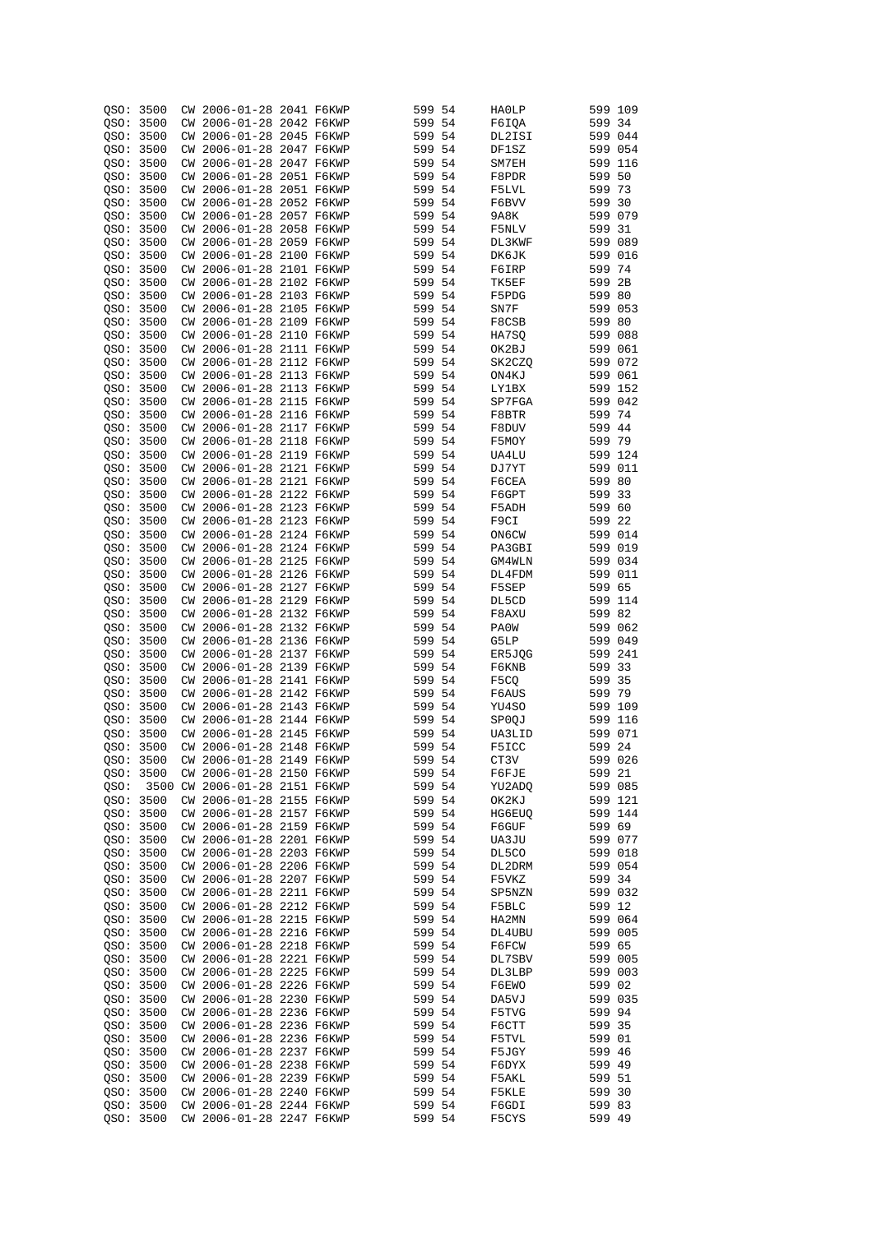| QSO: 3500 |      |    | CW 2006-01-28 2041 F6KWP      |  | 599 54 |      | HA0LP         | 599 109 |     |
|-----------|------|----|-------------------------------|--|--------|------|---------------|---------|-----|
| QSO: 3500 |      |    | CW 2006-01-28 2042 F6KWP      |  | 599 54 |      | F6IQA         | 599 34  |     |
|           |      |    |                               |  |        |      |               |         |     |
| QSO: 3500 |      |    | CW 2006-01-28 2045 F6KWP      |  | 599 54 |      | DL2ISI        | 599 044 |     |
| OSO: 3500 |      |    | CW 2006-01-28 2047 F6KWP      |  | 599 54 |      | DF1SZ         | 599 054 |     |
| QSO: 3500 |      |    | CW 2006-01-28 2047 F6KWP      |  | 599 54 |      | SM7EH         | 599 116 |     |
| QSO: 3500 |      |    | CW 2006-01-28 2051 F6KWP      |  | 599 54 |      | F8PDR         | 599 50  |     |
| OSO: 3500 |      |    | CW 2006-01-28 2051 F6KWP      |  | 599 54 |      | F5LVL         | 599 73  |     |
| QSO: 3500 |      |    | CW 2006-01-28 2052 F6KWP      |  | 599 54 |      | F6BVV         | 599 30  |     |
|           |      |    |                               |  |        |      |               |         |     |
| QSO: 3500 |      |    | CW 2006-01-28 2057 F6KWP      |  | 599 54 |      | 9A8K          | 599 079 |     |
| QSO: 3500 |      |    | CW 2006-01-28 2058 F6KWP      |  | 599 54 |      | F5NLV         | 599 31  |     |
| QSO: 3500 |      |    | CW 2006-01-28 2059 F6KWP      |  | 599 54 |      | DL3KWF        | 599 089 |     |
| QSO: 3500 |      |    | CW 2006-01-28 2100 F6KWP      |  | 599 54 |      | DK6JK         | 599 016 |     |
| QSO: 3500 |      |    | CW 2006-01-28 2101 F6KWP      |  | 599 54 |      | F6IRP         | 599 74  |     |
| QSO: 3500 |      |    | CW 2006-01-28 2102 F6KWP      |  | 599 54 |      | TK5EF         | 599     | 2B  |
|           |      |    |                               |  |        |      |               |         |     |
| QSO:      | 3500 |    | CW 2006-01-28 2103 F6KWP      |  | 599 54 |      | F5PDG         | 599 80  |     |
| QSO:      | 3500 |    | CW 2006-01-28 2105 F6KWP      |  | 599 54 |      | SN7F          | 599 053 |     |
| QSO: 3500 |      |    | CW 2006-01-28 2109 F6KWP      |  | 599 54 |      | F8CSB         | 599 80  |     |
| QSO:      | 3500 |    | CW 2006-01-28 2110 F6KWP      |  | 599 54 |      | HA7SQ         | 599 088 |     |
| QSO: 3500 |      |    | CW 2006-01-28 2111 F6KWP      |  | 599 54 |      | OK2BJ         | 599 061 |     |
| QSO:      | 3500 |    | CW 2006-01-28 2112 F6KWP      |  | 599 54 |      | SK2CZQ        | 599 072 |     |
|           |      |    | CW 2006-01-28 2113 F6KWP      |  | 599 54 |      |               | 599 061 |     |
| QSO: 3500 |      |    |                               |  |        |      | ON4KJ         |         |     |
| QSO:      | 3500 | СW | 2006-01-28 2113 F6KWP         |  | 599    | -54  | LY1BX         | 599 152 |     |
| QSO:      | 3500 |    | CW 2006-01-28 2115 F6KWP      |  | 599 54 |      | SP7FGA        | 599 042 |     |
| QSO:      | 3500 | СW | 2006-01-28 2116 F6KWP         |  | 599    | -54  | F8BTR         | 599 74  |     |
| QSO: 3500 |      |    | CW 2006-01-28 2117 F6KWP      |  | 599 54 |      | F8DUV         | 599 44  |     |
| QSO:      | 3500 | СW | 2006-01-28 2118 F6KWP         |  | 599    | -54  | F5MOY         | 599 79  |     |
| QSO:      | 3500 | СW | 2006-01-28 2119 F6KWP         |  | 599 54 |      | <b>UA4LU</b>  | 599 124 |     |
|           |      |    |                               |  |        |      |               |         |     |
| QSO:      | 3500 | СW | 2006-01-28 2121 F6KWP         |  | 599    | -54  | DJ7YT         | 599     | 011 |
| QSO: 3500 |      |    | CW 2006-01-28 2121 F6KWP      |  | 599 54 |      | F6CEA         | 599 80  |     |
| QSO:      | 3500 | СW | 2006-01-28 2122 F6KWP         |  | 599    | -54  | F6GPT         | 599     | 33  |
| QSO: 3500 |      | СW | 2006-01-28 2123 F6KWP         |  | 599 54 |      | F5ADH         | 599 60  |     |
| QSO:      | 3500 | СW | 2006-01-28 2123 F6KWP         |  | 599    | 54   | F9CI          | 599     | 22  |
| QSO: 3500 |      | СW | 2006-01-28 2124 F6KWP         |  | 599 54 |      | ON6CW         | 599 014 |     |
|           |      |    |                               |  |        |      |               |         |     |
| QSO: 3500 |      | СW | 2006-01-28 2124 F6KWP         |  | 599    | -54  | PA3GBI        | 599 019 |     |
| QSO: 3500 |      | СW | 2006-01-28 2125 F6KWP         |  | 599 54 |      | GM4WLN        | 599 034 |     |
| QSO: 3500 |      | СW | 2006-01-28 2126 F6KWP         |  | 599    | -54  | DL4FDM        | 599 011 |     |
| QSO: 3500 |      | СW | 2006-01-28 2127 F6KWP         |  | 599 54 |      | F5SEP         | 599 65  |     |
| QSO: 3500 |      |    | CW 2006-01-28 2129 F6KWP      |  | 599    | -54  | DL5CD         | 599 114 |     |
| QSO: 3500 |      | СW | 2006-01-28 2132 F6KWP         |  | 599 54 |      | F8AXU         | 599 82  |     |
| QSO: 3500 |      | СW | 2006-01-28 2132 F6KWP         |  | 599    | -54  | PA0W          | 599 062 |     |
|           |      |    |                               |  |        |      |               |         |     |
| QSO: 3500 |      |    | CW 2006-01-28 2136 F6KWP      |  | 599 54 |      | G5LP          | 599 049 |     |
| QSO: 3500 |      |    | CW 2006-01-28 2137 F6KWP      |  | 599    | - 54 | ER5JQG        | 599 241 |     |
| QSO: 3500 |      | СW | 2006-01-28 2139 F6KWP         |  | 599 54 |      | F6KNB         | 599 33  |     |
| OSO: 3500 |      |    | CW 2006-01-28 2141 F6KWP      |  | 599 54 |      | F5CO          | 599 35  |     |
| QSO: 3500 |      |    | CW 2006-01-28 2142 F6KWP      |  | 599 54 |      | F6AUS         | 599 79  |     |
| QSO: 3500 |      |    | CW 2006-01-28 2143 F6KWP      |  | 599 54 |      | YU4SO         | 599 109 |     |
| QSO: 3500 |      | СW | 2006-01-28 2144 F6KWP         |  | 599 54 |      |               | 599 116 |     |
|           |      |    |                               |  |        |      | SP0QJ         |         |     |
| OSO:      | 3500 | СW | 2006-01-28 2145 F6KWP         |  | 599 54 |      | UA3LID        | 599 071 |     |
| QSO: 3500 |      |    | CW 2006-01-28 2148 F6KWP      |  | 599 54 |      | F5ICC         | 599 24  |     |
| QSO: 3500 |      |    | CW 2006-01-28 2149 F6KWP      |  | 599 54 |      | CT3V          | 599 026 |     |
| QSO: 3500 |      |    | CW 2006-01-28 2150 F6KWP      |  | 599 54 |      | F6FJE         | 599 21  |     |
| QSO:      |      |    | 3500 CW 2006-01-28 2151 F6KWP |  | 599 54 |      | YU2ADQ        | 599 085 |     |
| QSO: 3500 |      |    | CW 2006-01-28 2155 F6KWP      |  | 599 54 |      | OK2KJ         | 599 121 |     |
| QSO: 3500 |      |    | CW 2006-01-28 2157 F6KWP      |  | 599 54 |      | <b>HG6EUQ</b> | 599 144 |     |
|           |      |    |                               |  |        |      |               |         |     |
| OSO: 3500 |      |    | CW 2006-01-28 2159 F6KWP      |  | 599 54 |      | F6GUF         | 599 69  |     |
| QSO: 3500 |      |    | CW 2006-01-28 2201 F6KWP      |  | 599 54 |      | UA3JU         | 599 077 |     |
| QSO: 3500 |      |    | CW 2006-01-28 2203 F6KWP      |  | 599 54 |      | DL5CO         | 599 018 |     |
| OSO: 3500 |      |    | CW 2006-01-28 2206 F6KWP      |  | 599 54 |      | DL2DRM        | 599 054 |     |
| QSO: 3500 |      |    | CW 2006-01-28 2207 F6KWP      |  | 599 54 |      | F5VKZ         | 599 34  |     |
| QSO: 3500 |      |    | CW 2006-01-28 2211 F6KWP      |  | 599 54 |      | SP5NZN        | 599 032 |     |
| OSO: 3500 |      |    | CW 2006-01-28 2212 F6KWP      |  | 599 54 |      |               |         |     |
|           |      |    |                               |  |        |      | F5BLC         | 599 12  |     |
| QSO: 3500 |      |    | CW 2006-01-28 2215 F6KWP      |  | 599 54 |      | HA2MN         | 599 064 |     |
| QSO: 3500 |      |    | CW 2006-01-28 2216 F6KWP      |  | 599 54 |      | DL4UBU        | 599 005 |     |
| QSO: 3500 |      |    | CW 2006-01-28 2218 F6KWP      |  | 599 54 |      | F6FCW         | 599 65  |     |
| QSO: 3500 |      |    | CW 2006-01-28 2221 F6KWP      |  | 599 54 |      | DL7SBV        | 599 005 |     |
| QSO: 3500 |      |    | CW 2006-01-28 2225 F6KWP      |  | 599 54 |      | DL3LBP        | 599 003 |     |
| QSO: 3500 |      |    | CW 2006-01-28 2226 F6KWP      |  | 599 54 |      | F6EWO         | 599 02  |     |
|           |      |    |                               |  |        |      |               |         |     |
| QSO: 3500 |      |    | CW 2006-01-28 2230 F6KWP      |  | 599 54 |      | DA5VJ         | 599 035 |     |
| QSO: 3500 |      |    | CW 2006-01-28 2236 F6KWP      |  | 599 54 |      | F5TVG         | 599 94  |     |
| QSO: 3500 |      |    | CW 2006-01-28 2236 F6KWP      |  | 599 54 |      | F6CTT         | 599 35  |     |
| QSO: 3500 |      |    | CW 2006-01-28 2236 F6KWP      |  | 599 54 |      | F5TVL         | 599 01  |     |
| QSO: 3500 |      |    | CW 2006-01-28 2237 F6KWP      |  | 599 54 |      | F5JGY         | 599 46  |     |
| QSO: 3500 |      |    | CW 2006-01-28 2238 F6KWP      |  | 599 54 |      | F6DYX         | 599 49  |     |
| QSO: 3500 |      |    | CW 2006-01-28 2239 F6KWP      |  | 599 54 |      | F5AKL         | 599 51  |     |
|           |      |    |                               |  |        |      |               |         |     |
| QSO: 3500 |      |    | CW 2006-01-28 2240 F6KWP      |  | 599 54 |      | F5KLE         | 599 30  |     |
| QSO: 3500 |      |    | CW 2006-01-28 2244 F6KWP      |  | 599 54 |      | F6GDI         | 599 83  |     |
| QSO: 3500 |      |    | CW 2006-01-28 2247 F6KWP      |  | 599 54 |      | F5CYS         | 599 49  |     |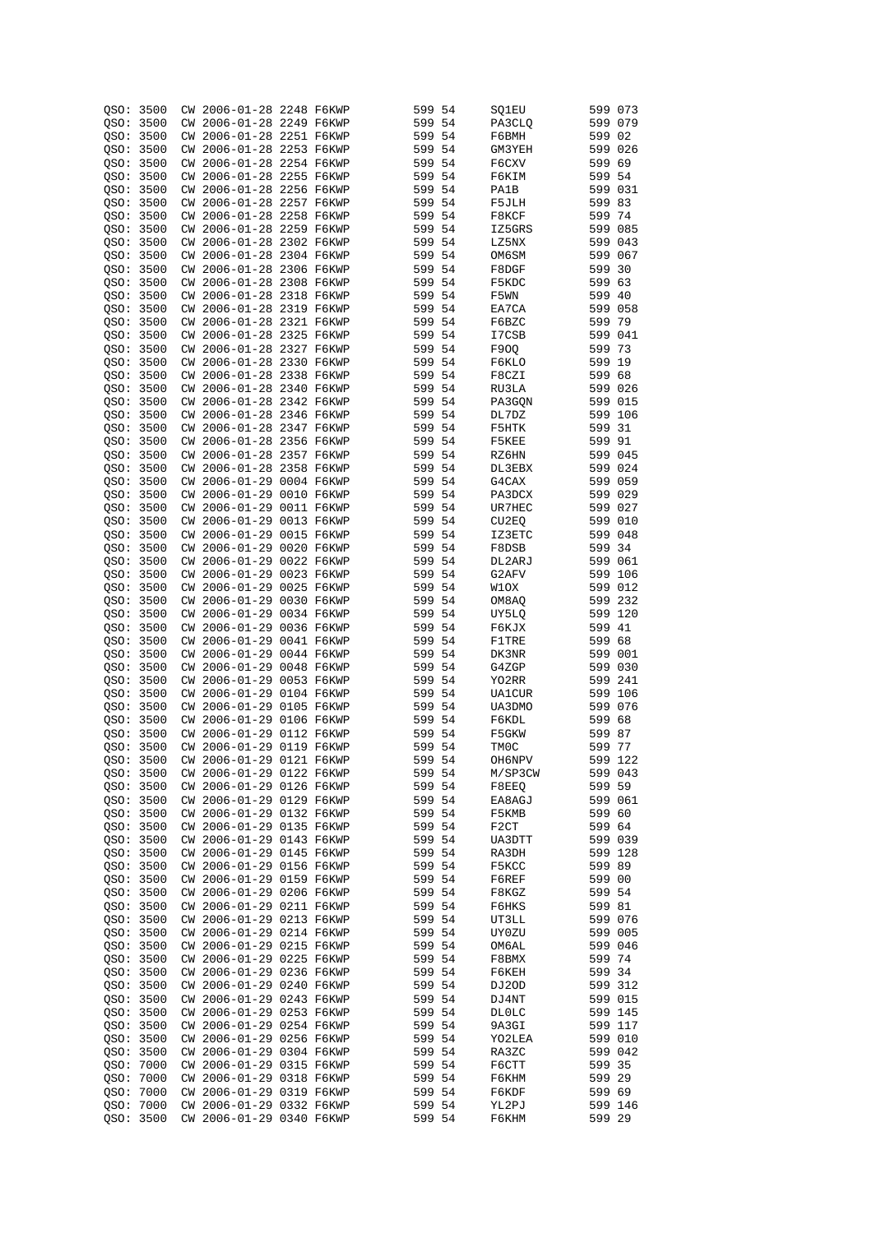| QSO:      | 3500 |    | CW 2006-01-28 2248 F6KWP |  | 599 54 |     | SQ1EU             | 599 073 |         |
|-----------|------|----|--------------------------|--|--------|-----|-------------------|---------|---------|
| QSO: 3500 |      | СW | 2006-01-28 2249 F6KWP    |  | 599 54 |     | PA3CLQ            | 599 079 |         |
| QSO: 3500 |      | СW | 2006-01-28 2251 F6KWP    |  | 599 54 |     | F6BMH             | 599 02  |         |
|           |      |    |                          |  |        |     |                   |         |         |
| OSO: 3500 |      |    | CW 2006-01-28 2253 F6KWP |  | 599 54 |     | GM3YEH            | 599 026 |         |
| QSO: 3500 |      |    | CW 2006-01-28 2254 F6KWP |  | 599 54 |     | F6CXV             | 599 69  |         |
| QSO: 3500 |      |    | CW 2006-01-28 2255 F6KWP |  | 599 54 |     | F6KIM             | 599 54  |         |
| QSO: 3500 |      |    | CW 2006-01-28 2256 F6KWP |  | 599 54 |     | PA1B              | 599 031 |         |
| QSO: 3500 |      |    | CW 2006-01-28 2257 F6KWP |  | 599 54 |     | F5JLH             | 599 83  |         |
| QSO:      | 3500 |    | CW 2006-01-28 2258 F6KWP |  | 599 54 |     | F8KCF             | 599 74  |         |
| QSO:      | 3500 | СW | 2006-01-28 2259 F6KWP    |  | 599 54 |     | IZ5GRS            | 599 085 |         |
|           |      |    |                          |  |        |     |                   |         |         |
| OSO:      | 3500 |    | CW 2006-01-28 2302 F6KWP |  | 599 54 |     | LZ5NX             | 599 043 |         |
| QSO:      | 3500 | СW | 2006-01-28 2304 F6KWP    |  | 599 54 |     | OM6SM             | 599 067 |         |
| QSO:      | 3500 |    | CW 2006-01-28 2306 F6KWP |  | 599 54 |     | F8DGF             | 599 30  |         |
| QSO:      | 3500 |    | CW 2006-01-28 2308 F6KWP |  | 599 54 |     | F5KDC             | 599 63  |         |
| QSO: 3500 |      |    | CW 2006-01-28 2318 F6KWP |  | 599    | 54  | F5WN              | 599 40  |         |
| QSO: 3500 |      |    | CW 2006-01-28 2319 F6KWP |  | 599    | 54  | EA7CA             | 599 058 |         |
| QSO: 3500 |      |    | CW 2006-01-28 2321 F6KWP |  | 599 54 |     | F6BZC             | 599 79  |         |
|           |      |    | CW 2006-01-28 2325 F6KWP |  |        |     |                   | 599 041 |         |
| QSO: 3500 |      |    |                          |  | 599 54 |     | I7CSB             |         |         |
| QSO: 3500 |      |    | CW 2006-01-28 2327 F6KWP |  | 599 54 |     | F90Q              | 599 73  |         |
| QSO: 3500 |      | СW | 2006-01-28 2330 F6KWP    |  | 599    | 54  | F6KLO             | 599 19  |         |
| QSO:      | 3500 |    | CW 2006-01-28 2338 F6KWP |  | 599 54 |     | F8CZI             | 599 68  |         |
| QSO:      | 3500 | СW | 2006-01-28 2340 F6KWP    |  | 599 54 |     | RU3LA             | 599 026 |         |
| QSO:      | 3500 |    | CW 2006-01-28 2342 F6KWP |  | 599 54 |     | PA3GQN            | 599 015 |         |
| QSO:      | 3500 | СW | 2006-01-28 2346 F6KWP    |  | 599 54 |     | DL7DZ             | 599 106 |         |
|           |      |    |                          |  |        |     |                   |         |         |
| QSO: 3500 |      |    | CW 2006-01-28 2347 F6KWP |  | 599 54 |     | F5HTK             | 599 31  |         |
| OSO:      | 3500 | СW | 2006-01-28 2356 F6KWP    |  | 599 54 |     | F5KEE             | 599 91  |         |
| QSO:      | 3500 |    | CW 2006-01-28 2357 F6KWP |  | 599 54 |     | RZ6HN             | 599 045 |         |
| QSO:      | 3500 | СW | 2006-01-28 2358 F6KWP    |  | 599 54 |     | DL3EBX            | 599 024 |         |
| QSO:      | 3500 |    | CW 2006-01-29 0004 F6KWP |  | 599 54 |     | G4CAX             | 599 059 |         |
| QSO:      | 3500 | СW | 2006-01-29 0010 F6KWP    |  | 599 54 |     | PA3DCX            | 599 029 |         |
| QSO:      | 3500 | СW | 2006-01-29 0011 F6KWP    |  | 599 54 |     | UR7HEC            | 599 027 |         |
|           |      |    |                          |  |        |     |                   |         |         |
| QSO:      | 3500 | СW | 2006-01-29 0013 F6KWP    |  | 599    | 54  | CU2EQ             | 599 010 |         |
| QSO: 3500 |      | СW | 2006-01-29 0015 F6KWP    |  | 599 54 |     | IZ3ETC            | 599 048 |         |
| QSO:      | 3500 | СW | 2006-01-29 0020 F6KWP    |  | 599    | 54  | F8DSB             | 599     | 34      |
| QSO: 3500 |      | СW | 2006-01-29 0022 F6KWP    |  | 599 54 |     | DL2ARJ            | 599 061 |         |
| QSO:      | 3500 | СW | 2006-01-29 0023 F6KWP    |  | 599    | 54  | G2AFV             | 599     | 106     |
| QSO: 3500 |      | СW | 2006-01-29 0025 F6KWP    |  | 599 54 |     | W1OX              | 599 012 |         |
|           |      |    |                          |  |        |     |                   |         |         |
| QSO:      | 3500 | СW | 2006-01-29 0030 F6KWP    |  | 599    | 54  | OM8AQ             | 599     | 232     |
| QSO: 3500 |      | СW | 2006-01-29 0034 F6KWP    |  | 599 54 |     | UY5LQ             | 599 120 |         |
| QSO:      | 3500 | СW | 2006-01-29 0036 F6KWP    |  | 599    | 54  | F6KJX             | 599     | 41      |
| QSO: 3500 |      | СW | 2006-01-29 0041 F6KWP    |  | 599 54 |     | F1TRE             | 599 68  |         |
| QSO: 3500 |      | СW | 2006-01-29 0044 F6KWP    |  | 599    | -54 | DK3NR             | 599 001 |         |
| QSO: 3500 |      | СW | 2006-01-29 0048 F6KWP    |  | 599 54 |     | G4ZGP             | 599 030 |         |
| QSO:      | 3500 | СW | 2006-01-29 0053 F6KWP    |  | 599 54 |     | YO2RR             | 599 241 |         |
|           |      |    |                          |  |        |     |                   |         |         |
| QSO: 3500 |      | СW | 2006-01-29 0104 F6KWP    |  | 599 54 |     | UA1CUR            | 599 106 |         |
| QSO:      | 3500 | CW | 2006-01-29 0105 F6KWP    |  | 599 54 |     | UA3DMO            | 599 076 |         |
| QSO: 3500 |      | CM | 2006-01-29 0106 F6KWP    |  | 599 54 |     | F6KDL             | 599 68  |         |
| QSO:      | 3500 | CM | 2006-01-29 0112 F6KWP    |  | 599 54 |     | F5GKW             | 599     | 87      |
| QSO: 3500 |      |    | CW 2006-01-29 0119 F6KWP |  | 599 54 |     | TM0C              | 599 77  |         |
| QSO: 3500 |      |    | CW 2006-01-29 0121 F6KWP |  | 599 54 |     | OH6NPV            |         | 599 122 |
| QSO: 3500 |      |    | CW 2006-01-29 0122 F6KWP |  | 599 54 |     | M/SP3CW           |         | 599 043 |
|           |      |    | CW 2006-01-29 0126 F6KWP |  |        |     |                   |         |         |
| QSO: 3500 |      |    |                          |  | 599 54 |     | F8EEQ             | 599 59  |         |
| OSO: 3500 |      |    | CW 2006-01-29 0129 F6KWP |  | 599 54 |     | EA8AGJ            | 599 061 |         |
| QSO: 3500 |      |    | CW 2006-01-29 0132 F6KWP |  | 599 54 |     | F5KMB             | 599 60  |         |
| QSO: 3500 |      |    | CW 2006-01-29 0135 F6KWP |  | 599 54 |     | F <sub>2</sub> CT | 599 64  |         |
| QSO: 3500 |      |    | CW 2006-01-29 0143 F6KWP |  | 599 54 |     | UA3DTT            |         | 599 039 |
| OSO: 3500 |      |    | CW 2006-01-29 0145 F6KWP |  | 599 54 |     | RA3DH             | 599 128 |         |
| QSO: 3500 |      |    | CW 2006-01-29 0156 F6KWP |  | 599 54 |     | F5KCC             | 599 89  |         |
| QSO: 3500 |      |    | CW 2006-01-29 0159 F6KWP |  | 599 54 |     | F6REF             | 599 00  |         |
|           |      |    |                          |  |        |     |                   |         |         |
| QSO: 3500 |      |    | CW 2006-01-29 0206 F6KWP |  | 599 54 |     | F8KGZ             | 599 54  |         |
| QSO: 3500 |      |    | CW 2006-01-29 0211 F6KWP |  | 599 54 |     | F6HKS             | 599 81  |         |
| QSO: 3500 |      |    | CW 2006-01-29 0213 F6KWP |  | 599 54 |     | UT3LL             |         | 599 076 |
| OSO: 3500 |      |    | CW 2006-01-29 0214 F6KWP |  | 599 54 |     | UY0ZU             |         | 599 005 |
| OSO: 3500 |      |    | CW 2006-01-29 0215 F6KWP |  | 599 54 |     | OM6AL             |         | 599 046 |
| QSO: 3500 |      |    | CW 2006-01-29 0225 F6KWP |  | 599 54 |     | F8BMX             | 599 74  |         |
| QSO: 3500 |      |    | CW 2006-01-29 0236 F6KWP |  | 599 54 |     | F6KEH             | 599 34  |         |
|           |      |    |                          |  |        |     |                   |         | 599 312 |
| QSO: 3500 |      |    | CW 2006-01-29 0240 F6KWP |  | 599 54 |     | DJ2OD             |         |         |
| QSO: 3500 |      |    | CW 2006-01-29 0243 F6KWP |  | 599 54 |     | DJ4NT             |         | 599 015 |
| QSO: 3500 |      |    | CW 2006-01-29 0253 F6KWP |  | 599 54 |     | DL0LC             |         | 599 145 |
| QSO: 3500 |      |    | CW 2006-01-29 0254 F6KWP |  | 599 54 |     | 9A3GI             |         | 599 117 |
| QSO: 3500 |      |    | CW 2006-01-29 0256 F6KWP |  | 599 54 |     | YO2LEA            |         | 599 010 |
| QSO: 3500 |      |    | CW 2006-01-29 0304 F6KWP |  | 599 54 |     | RA3ZC             |         | 599 042 |
| QSO: 7000 |      |    | CW 2006-01-29 0315 F6KWP |  | 599 54 |     | F6CTT             | 599 35  |         |
| QSO: 7000 |      |    | CW 2006-01-29 0318 F6KWP |  | 599 54 |     | F6KHM             | 599 29  |         |
|           |      |    | CW 2006-01-29 0319 F6KWP |  |        |     |                   | 599 69  |         |
| QSO: 7000 |      |    |                          |  | 599 54 |     | F6KDF             |         |         |
| QSO: 7000 |      |    | CW 2006-01-29 0332 F6KWP |  | 599 54 |     | YL2PJ             |         | 599 146 |
| QSO: 3500 |      |    | CW 2006-01-29 0340 F6KWP |  | 599 54 |     | F6KHM             | 599 29  |         |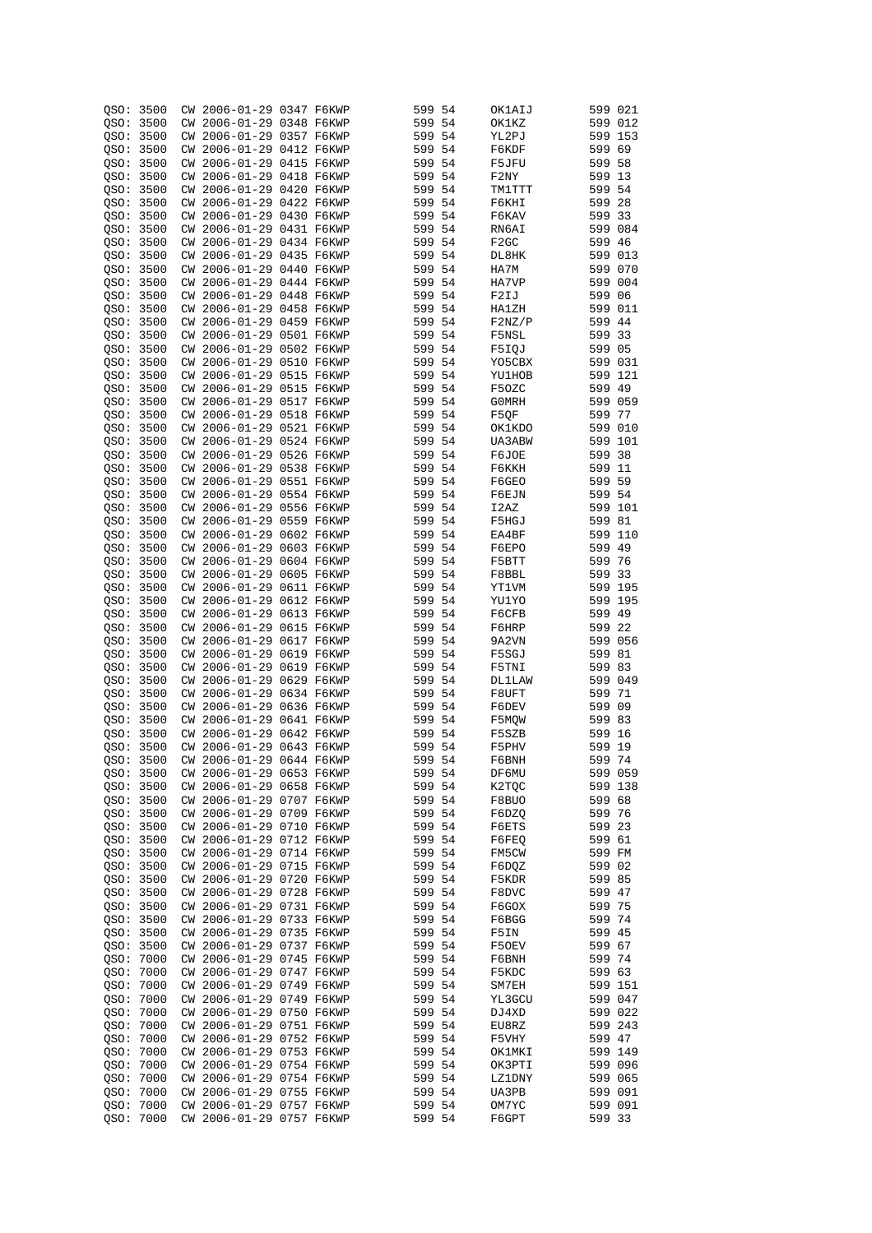| QSO:      | 3500 |    | CW 2006-01-29 0347 F6KWP |            | 599    | 54   | OK1AIJ           | 599 021 |         |
|-----------|------|----|--------------------------|------------|--------|------|------------------|---------|---------|
| QSO: 3500 |      | СW | 2006-01-29 0348 F6KWP    |            | 599 54 |      | OK1KZ            | 599 012 |         |
|           |      |    |                          |            |        |      |                  |         |         |
| QSO: 3500 |      | СW | 2006-01-29 0357 F6KWP    |            | 599 54 |      | YL2PJ            | 599 153 |         |
| OSO: 3500 |      |    | CW 2006-01-29 0412 F6KWP |            | 599 54 |      | F6KDF            | 599 69  |         |
| OSO: 3500 |      |    | CW 2006-01-29 0415 F6KWP |            | 599 54 |      | F5JFU            | 599 58  |         |
| QSO: 3500 |      |    | CW 2006-01-29 0418 F6KWP |            | 599 54 |      | F2NY             | 599 13  |         |
| OSO: 3500 |      |    | CW 2006-01-29 0420 F6KWP |            | 599 54 |      | TM1TTT           | 599 54  |         |
|           |      |    |                          |            |        |      |                  |         |         |
| OSO: 3500 |      |    | CW 2006-01-29 0422 F6KWP |            | 599 54 |      | F6KHI            | 599 28  |         |
| QSO:      | 3500 |    | CW 2006-01-29 0430 F6KWP |            | 599 54 |      | F6KAV            | 599 33  |         |
| QSO:      | 3500 | СW | 2006-01-29 0431 F6KWP    |            | 599 54 |      | RN6AI            | 599 084 |         |
| OSO:      | 3500 |    | CW 2006-01-29 0434 F6KWP |            | 599 54 |      | F <sub>2GC</sub> | 599 46  |         |
| QSO:      | 3500 |    | CW 2006-01-29 0435 F6KWP |            | 599 54 |      | DL8HK            | 599 013 |         |
|           |      |    |                          |            |        |      |                  |         |         |
| QSO:      | 3500 |    | CW 2006-01-29 0440 F6KWP |            | 599 54 |      | HA7M             | 599 070 |         |
| QSO:      | 3500 |    | CW 2006-01-29 0444 F6KWP |            | 599 54 |      | HA7VP            | 599 004 |         |
| QSO: 3500 |      |    | CW 2006-01-29 0448 F6KWP |            | 599    | 54   | F2IJ             | 599 06  |         |
| QSO: 3500 |      |    | CW 2006-01-29 0458 F6KWP |            | 599    | 54   | HA1ZH            | 599 011 |         |
| QSO: 3500 |      |    | CW 2006-01-29 0459 F6KWP |            | 599 54 |      | F2NZ/P           | 599 44  |         |
|           |      |    |                          |            |        |      |                  |         |         |
| QSO: 3500 |      |    | CW 2006-01-29 0501 F6KWP |            | 599 54 |      | F5NSL            | 599 33  |         |
| QSO: 3500 |      |    | CW 2006-01-29 0502 F6KWP |            | 599 54 |      | F5IQJ            | 599 05  |         |
| QSO:      | 3500 |    | CW 2006-01-29 0510 F6KWP |            | 599    | 54   | Y05CBX           | 599 031 |         |
| QSO:      | 3500 |    | CW 2006-01-29 0515 F6KWP |            | 599 54 |      | YU1HOB           | 599 121 |         |
| QSO:      | 3500 | СW | 2006-01-29 0515 F6KWP    |            | 599 54 |      | F50ZC            | 599 49  |         |
|           |      |    |                          |            |        |      |                  |         |         |
| QSO:      | 3500 |    | CW 2006-01-29 0517 F6KWP |            | 599 54 |      | G0MRH            | 599 059 |         |
| QSO:      | 3500 | СW | 2006-01-29 0518 F6KWP    |            | 599    | 54   | F5OF             | 599 77  |         |
| QSO:      | 3500 |    | CW 2006-01-29 0521 F6KWP |            | 599 54 |      | OK1KDO           | 599 010 |         |
| OSO:      | 3500 |    | CW 2006-01-29 0524 F6KWP |            | 599 54 |      | UA3ABW           | 599 101 |         |
| QSO:      | 3500 |    | CW 2006-01-29 0526 F6KWP |            | 599 54 |      | F6JOE            | 599 38  |         |
|           |      |    |                          |            |        |      |                  |         |         |
| QSO:      | 3500 | СW | 2006-01-29 0538 F6KWP    |            | 599    | -54  | F6KKH            | 599     | 11      |
| QSO:      | 3500 |    | CW 2006-01-29 0551 F6KWP |            | 599 54 |      | F6GEO            | 599 59  |         |
| QSO:      | 3500 | СW | 2006-01-29 0554 F6KWP    |            | 599    | - 54 | F6EJN            | 599 54  |         |
| QSO:      | 3500 | СW | 2006-01-29 0556 F6KWP    |            | 599 54 |      | I2AZ             | 599 101 |         |
| QSO:      | 3500 | СW | 2006-01-29 0559 F6KWP    |            | 599    | 54   | F5HGJ            | 599     | 81      |
|           |      |    |                          |            |        |      |                  |         |         |
| QSO: 3500 |      | СW | 2006-01-29 0602 F6KWP    |            | 599 54 |      | EA4BF            | 599     | 110     |
| QSO:      | 3500 | СW | 2006-01-29 0603 F6KWP    |            | 599    | 54   | F6EPO            | 599     | 49      |
| QSO: 3500 |      | СW | 2006-01-29 0604 F6KWP    |            | 599 54 |      | F5BTT            | 599 76  |         |
| QSO:      | 3500 | СW | 2006-01-29 0605 F6KWP    |            | 599    | 54   | F8BBL            | 599     | 33      |
| QSO: 3500 |      | СW | 2006-01-29 0611 F6KWP    |            | 599 54 |      | YT1VM            | 599 195 |         |
|           |      |    |                          |            |        |      |                  |         |         |
| QSO:      | 3500 | СW | 2006-01-29 0612 F6KWP    |            | 599    | 54   | YU1YO            | 599 195 |         |
| QSO: 3500 |      | СW | 2006-01-29 0613 F6KWP    |            | 599    | -54  | F6CFB            | 599 49  |         |
| QSO:      | 3500 | СW | $2006 - 01 - 29$         | 0615 F6KWP | 599    | 54   | F6HRP            | 599     | 22      |
| QSO: 3500 |      | СW | 2006-01-29 0617 F6KWP    |            | 599    | - 54 | 9A2VN            | 599 056 |         |
| QSO: 3500 |      | СW | $2006 - 01 - 29$         | 0619 F6KWP | 599    | 54   | F5SGJ            | 599     | 81      |
|           |      |    |                          |            |        |      |                  |         |         |
| QSO: 3500 |      | СW | 2006-01-29 0619 F6KWP    |            | 599 54 |      | F5TNI            | 599 83  |         |
| QSO:      | 3500 | СW | 2006-01-29 0629 F6KWP    |            | 599    | 54   | <b>DL1LAW</b>    | 599     | 049     |
| QSO: 3500 |      | СW | 2006-01-29 0634 F6KWP    |            | 599 54 |      | F8UFT            | 599     | -71     |
| QSO:      | 3500 | CW | 2006-01-29 0636 F6KWP    |            | 599    | - 54 | F6DEV            | 599     | 09      |
| QSO: 3500 |      | СW | 2006-01-29 0641 F6KWP    |            | 599 54 |      | F5MQW            | 599 83  |         |
|           |      |    |                          |            |        |      |                  |         |         |
| QSO:      | 3500 | CM | 2006-01-29 0642 F6KWP    |            | 599 54 |      | F5SZB            | 599     | 16      |
| QSO: 3500 |      |    | CW 2006-01-29 0643 F6KWP |            | 599 54 |      | F5PHV            | 599 19  |         |
| QSO: 3500 |      |    | CW 2006-01-29 0644 F6KWP |            | 599 54 |      | F, Q B D H       | 599 74  |         |
| QSO: 3500 |      |    | CW 2006-01-29 0653 F6KWP |            | 599 54 |      | DF6MU            |         | 599 059 |
| OSO: 3500 |      |    | CW 2006-01-29 0658 F6KWP |            | 599 54 |      | K2TQC            | 599 138 |         |
| OSO: 3500 |      |    | CW 2006-01-29 0707 F6KWP |            | 599 54 |      | F8BUO            | 599 68  |         |
|           |      |    |                          |            |        |      |                  |         |         |
| QSO: 3500 |      |    | CW 2006-01-29 0709 F6KWP |            | 599 54 |      | F6DZQ            | 599 76  |         |
| QSO: 3500 |      |    | CW 2006-01-29 0710 F6KWP |            | 599 54 |      | F6ETS            | 599 23  |         |
| QSO: 3500 |      |    | CW 2006-01-29 0712 F6KWP |            | 599 54 |      | F6FEQ            | 599 61  |         |
| OSO: 3500 |      |    | CW 2006-01-29 0714 F6KWP |            | 599 54 |      | FM5CW            | 599 FM  |         |
| QSO: 3500 |      |    | CW 2006-01-29 0715 F6KWP |            | 599 54 |      | F6DQZ            | 599 02  |         |
|           |      |    |                          |            |        |      |                  |         |         |
| QSO: 3500 |      |    | CW 2006-01-29 0720 F6KWP |            | 599 54 |      | F5KDR            | 599 85  |         |
| QSO: 3500 |      |    | CW 2006-01-29 0728 F6KWP |            | 599 54 |      | F8DVC            | 599 47  |         |
| QSO: 3500 |      |    | CW 2006-01-29 0731 F6KWP |            | 599 54 |      | F6GOX            | 599 75  |         |
| QSO: 3500 |      |    | CW 2006-01-29 0733 F6KWP |            | 599 54 |      | F6BGG            | 599 74  |         |
| QSO: 3500 |      |    | CW 2006-01-29 0735 F6KWP |            | 599 54 |      | F5IN             | 599 45  |         |
| QSO: 3500 |      |    | CW 2006-01-29 0737 F6KWP |            | 599 54 |      | F50EV            | 599 67  |         |
|           |      |    |                          |            |        |      |                  |         |         |
| QSO: 7000 |      |    | CW 2006-01-29 0745 F6KWP |            | 599 54 |      | F6BNH            | 599 74  |         |
| QSO: 7000 |      |    | CW 2006-01-29 0747 F6KWP |            | 599 54 |      | F5KDC            | 599 63  |         |
| QSO: 7000 |      |    | CW 2006-01-29 0749 F6KWP |            | 599 54 |      | SM7EH            | 599 151 |         |
| QSO: 7000 |      |    | CW 2006-01-29 0749 F6KWP |            | 599 54 |      | YL3GCU           |         | 599 047 |
| QSO: 7000 |      |    | CW 2006-01-29 0750 F6KWP |            | 599 54 |      | DJ4XD            |         | 599 022 |
|           |      |    |                          |            |        |      |                  |         |         |
| QSO: 7000 |      |    | CW 2006-01-29 0751 F6KWP |            | 599 54 |      | EU8RZ            |         | 599 243 |
| QSO: 7000 |      |    | CW 2006-01-29 0752 F6KWP |            | 599 54 |      | F5VHY            | 599 47  |         |
| QSO: 7000 |      |    | CW 2006-01-29 0753 F6KWP |            | 599 54 |      | OK1MKI           | 599 149 |         |
| QSO: 7000 |      |    | CW 2006-01-29 0754 F6KWP |            | 599 54 |      | OK3PTI           | 599 096 |         |
| QSO: 7000 |      |    | CW 2006-01-29 0754 F6KWP |            | 599 54 |      | LZ1DNY           |         | 599 065 |
|           |      |    |                          |            |        |      |                  |         |         |
| QSO: 7000 |      |    | CW 2006-01-29 0755 F6KWP |            | 599 54 |      | UA3PB            | 599 091 |         |
| QSO: 7000 |      |    | CW 2006-01-29 0757 F6KWP |            | 599 54 |      | OM7YC            |         | 599 091 |
| QSO:      | 7000 |    | CW 2006-01-29 0757 F6KWP |            | 599 54 |      | F6GPT            | 599 33  |         |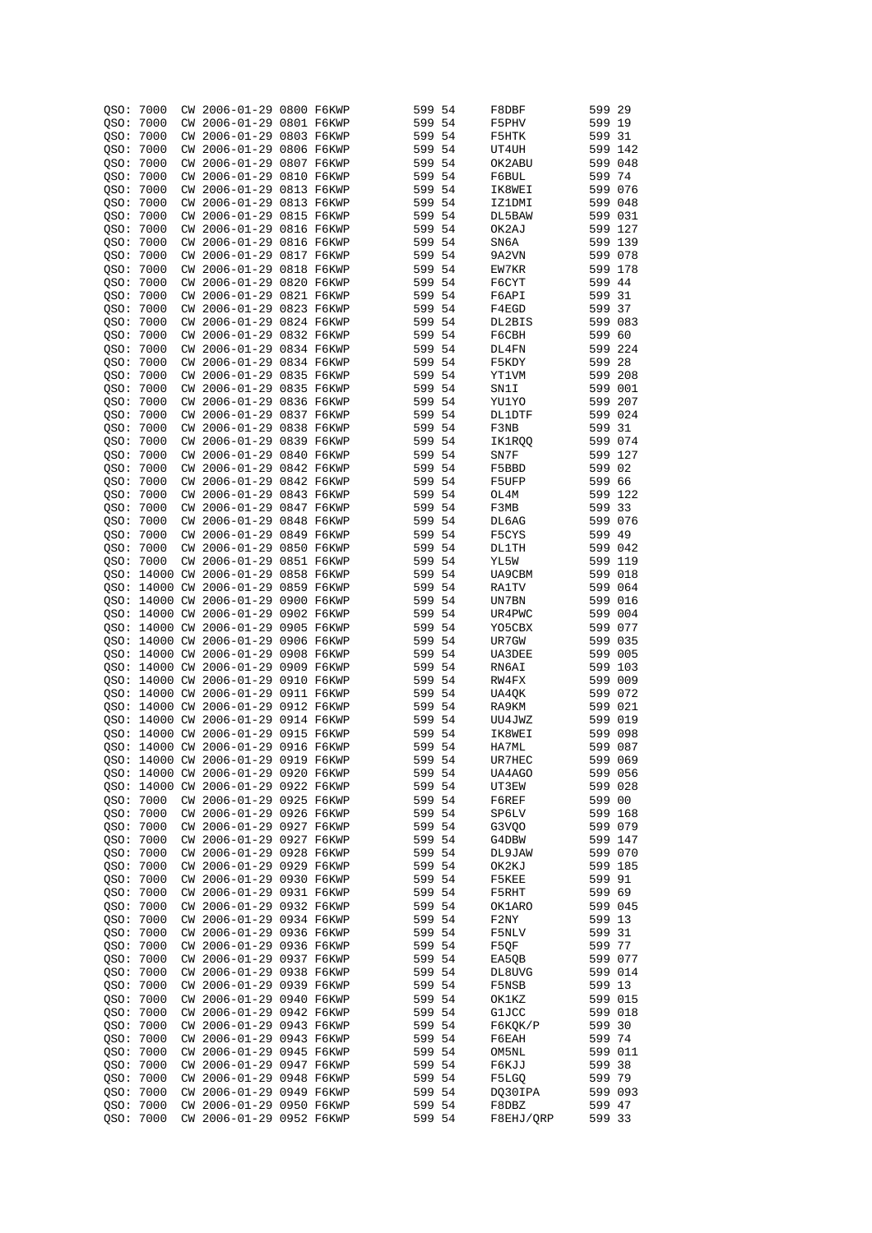| QSO:      | 7000          | CW        | 2006-01-29 0800 F6KWP               |            | 599    | 54  | F8DBF     | 599     | 29  |
|-----------|---------------|-----------|-------------------------------------|------------|--------|-----|-----------|---------|-----|
|           |               |           |                                     |            |        |     |           |         |     |
| QSO:      | 7000          | CM        | 2006-01-29 0801 F6KWP               |            | 599 54 |     | F5PHV     | 599 19  |     |
| QSO:      | 7000          | CW        | 2006-01-29 0803 F6KWP               |            | 599 54 |     | F5HTK     | 599     | -31 |
| QSO:      | 7000          | CW        | 2006-01-29 0806 F6KWP               |            | 599 54 |     | UT4UH     | 599 142 |     |
|           |               |           |                                     |            |        |     |           |         |     |
| QSO:      | 7000          | <b>CW</b> | 2006-01-29 0807 F6KWP               |            | 599 54 |     | OK2ABU    | 599 048 |     |
| QSO:      | 7000          | CW        | 2006-01-29 0810 F6KWP               |            | 599 54 |     | F6BUL     | 599 74  |     |
| OSO:      | 7000          | CW        | 2006-01-29 0813 F6KWP               |            | 599 54 |     | IK8WEI    | 599 076 |     |
|           |               |           | 2006-01-29 0813 F6KWP               |            |        |     |           | 599 048 |     |
| QSO:      | 7000          | CW        |                                     |            | 599 54 |     | IZ1DMI    |         |     |
| QSO:      | 7000          | <b>CW</b> | 2006-01-29 0815 F6KWP               |            | 599 54 |     | DL5BAW    | 599 031 |     |
| QSO:      | 7000          | CW        | 2006-01-29 0816 F6KWP               |            | 599 54 |     | OK2AJ     | 599 127 |     |
|           |               |           | 2006-01-29 0816 F6KWP               |            |        |     |           | 599 139 |     |
| QSO:      | 7000          | CW.       |                                     |            | 599    | 54  | SN6A      |         |     |
| QSO:      | 7000          | CW        | 2006-01-29 0817 F6KWP               |            | 599    | 54  | 9A2VN     | 599 078 |     |
| QSO:      | 7000          |           | CW 2006-01-29 0818 F6KWP            |            | 599    | 54  | EW7KR     | 599 178 |     |
|           | 7000          |           | CW 2006-01-29 0820 F6KWP            |            | 599    | 54  | F6CYT     | 599 44  |     |
| QSO:      |               |           |                                     |            |        |     |           |         |     |
| QSO:      | 7000          |           | CW 2006-01-29 0821 F6KWP            |            | 599    | 54  | F6API     | 599     | 31  |
| OSO:      | 7000          | CW.       | 2006-01-29 0823 F6KWP               |            | 599    | 54  | F4EGD     | 599     | 37  |
|           | 7000          |           | CW 2006-01-29 0824 F6KWP            |            | 599    | 54  |           | 599 083 |     |
| QSO:      |               |           |                                     |            |        |     | DL2BIS    |         |     |
| QSO:      | 7000          | CW.       | 2006-01-29 0832 F6KWP               |            | 599 54 |     | F6CBH     | 599 60  |     |
| QSO:      | 7000          |           | CW 2006-01-29 0834 F6KWP            |            | 599    | 54  | DL4FN     | 599     | 224 |
| QSO:      | 7000          | CW        | 2006-01-29                          | 0834 F6KWP | 599    | 54  | F5KDY     | 599     | 28  |
|           |               |           |                                     |            |        |     |           |         |     |
| QSO:      | 7000          |           | CW 2006-01-29 0835 F6KWP            |            | 599 54 |     | YT1VM     | 599 208 |     |
| QSO:      | 7000          | CW        | 2006-01-29 0835 F6KWP               |            | 599    | 54  | SN1I      | 599 001 |     |
| QSO:      | 7000          |           | CW 2006-01-29 0836 F6KWP            |            | 599 54 |     | YU1YO     | 599 207 |     |
|           |               |           |                                     |            |        |     |           |         |     |
| QSO:      | 7000          | CW        | 2006-01-29 0837 F6KWP               |            | 599    | 54  | DL1DTF    | 599 024 |     |
| QSO:      | 7000          |           | CW 2006-01-29 0838 F6KWP            |            | 599 54 |     | F3NB      | 599 31  |     |
| QSO:      | 7000          | CW        | 2006-01-29 0839 F6KWP               |            | 599 54 |     | IK1RQQ    | 599 074 |     |
|           |               |           |                                     |            |        |     |           |         |     |
| QSO:      | 7000          | <b>CW</b> | 2006-01-29 0840 F6KWP               |            | 599 54 |     | SN7F      | 599 127 |     |
| QSO:      | 7000          | CW        | 2006-01-29 0842 F6KWP               |            | 599    | 54  | F5BBD     | 599     | 02  |
| QSO:      | 7000          | CW        | 2006-01-29 0842 F6KWP               |            | 599 54 |     | F5UFP     | 599 66  |     |
|           |               |           |                                     |            |        |     |           |         |     |
| QSO:      | 7000          | CW        | 2006-01-29 0843 F6KWP               |            | 599    | -54 | OL4M      | 599     | 122 |
| QSO:      | 7000          | CW        | 2006-01-29 0847 F6KWP               |            | 599 54 |     | F3MB      | 599 33  |     |
| QSO:      | 7000          | CM        | $2006 - 01 - 29$                    | 0848 F6KWP | 599    | 54  | DL6AG     | 599     | 076 |
|           |               |           |                                     |            |        |     |           |         |     |
| QSO:      | 7000          | CW        | 2006-01-29 0849 F6KWP               |            | 599 54 |     | F5CYS     | 599 49  |     |
| QSO:      | 7000          | CM        | 2006-01-29 0850 F6KWP               |            | 599    | 54  | DL1TH     | 599 042 |     |
| QSO:      | 7000          | <b>CW</b> | 2006-01-29 0851 F6KWP               |            | 599 54 |     | YL5W      | 599 119 |     |
|           |               |           |                                     |            |        |     |           |         |     |
| QSO:      | 14000 CW      |           | $2006 - 01 - 29$                    | 0858 F6KWP | 599    | 54  | UA9CBM    | 599     | 018 |
| QSO:      |               |           | 14000 CW 2006-01-29 0859 F6KWP      |            | 599 54 |     | RA1TV     | 599 064 |     |
| OSO:      | 14000 CW      |           | $2006 - 01 - 29$                    | 0900 F6KWP | 599    | 54  | UN7BN     | 599     | 016 |
|           |               |           |                                     |            |        |     |           |         |     |
| OSO:      | 14000 CW      |           | 2006-01-29 0902 F6KWP               |            | 599 54 |     | UR4PWC    | 599 004 |     |
| OSO:      | 14000 CW      |           | $2006 - 01 - 29$                    | 0905 F6KWP | 599    | 54  | Y05CBX    | 599     | 077 |
|           | OSO: 14000 CW |           | 2006-01-29 0906 F6KWP               |            | 599 54 |     | UR7GW     | 599 035 |     |
|           | 14000 CW      |           | $2006 - 01 - 29$                    | 0908 F6KWP | 599    | 54  | UA3DEE    | 599     | 005 |
| QSO:      |               |           |                                     |            |        |     |           |         |     |
| OSO:      |               |           | 14000 CW 2006-01-29 0909 F6KWP      |            | 599 54 |     | RN6AI     | 599 103 |     |
| OSO:      |               |           | 14000 CW 2006-01-29                 | 0910 F6KWP | 599    | 54  | RW4FX     | 599 009 |     |
|           |               |           | 14000 CW 2006-01-29 0911 F6KWP      |            | 599 54 |     |           | 599 072 |     |
| QSO:      |               |           |                                     |            |        |     | UA4QK     |         |     |
| QSO:      |               |           | 14000 CW 2006-01-29 0912 F6KWP      |            | 599 54 |     | RA9KM     | 599 021 |     |
| OSO:      |               |           | 14000 CW 2006-01-29 0914 F6KWP      |            | 599 54 |     | UU4JWZ    | 599 019 |     |
| OSO:      | 14000         |           | CW 2006-01-29 0915 F6KWP            |            | 599 54 |     | IK8WEI    | 599 098 |     |
|           |               |           |                                     |            |        |     |           |         |     |
| OSO:      |               |           | 14000 CW 2006-01-29 0916 F6KWP      |            | 599 54 |     | HA7ML     | 599 087 |     |
|           |               |           | QSO: 14000 CW 2006-01-29 0919 F6KWP |            | 599 54 |     | UR / HEC  | 599 069 |     |
|           |               |           | OSO: 14000 CW 2006-01-29 0920 F6KWP |            | 599 54 |     | UA4AGO    | 599 056 |     |
|           |               |           |                                     |            |        |     |           |         |     |
|           |               |           | QSO: 14000 CW 2006-01-29 0922 F6KWP |            | 599 54 |     | UT3EW     | 599 028 |     |
|           | OSO: 7000     |           | CW 2006-01-29 0925 F6KWP            |            | 599 54 |     | F6REF     | 599 00  |     |
|           | QSO: 7000     |           | CW 2006-01-29 0926 F6KWP            |            | 599 54 |     | SP6LV     | 599 168 |     |
|           |               |           |                                     |            |        |     |           |         |     |
| QSO: 7000 |               |           | CW 2006-01-29 0927 F6KWP            |            | 599 54 |     | G3VQO     | 599 079 |     |
| OSO: 7000 |               |           | CW 2006-01-29 0927 F6KWP            |            | 599 54 |     | G4DBW     | 599 147 |     |
| QSO: 7000 |               |           | CW 2006-01-29 0928 F6KWP            |            | 599 54 |     | DL9JAW    | 599 070 |     |
|           |               |           | CW 2006-01-29 0929 F6KWP            |            |        |     |           |         |     |
| OSO: 7000 |               |           |                                     |            | 599 54 |     | OK2KJ     | 599 185 |     |
| QSO: 7000 |               |           | CW 2006-01-29 0930 F6KWP            |            | 599 54 |     | F5KEE     | 599 91  |     |
| QSO: 7000 |               |           | CW 2006-01-29 0931 F6KWP            |            | 599 54 |     | F5RHT     | 599 69  |     |
|           |               |           |                                     |            |        |     |           |         |     |
| QSO: 7000 |               |           | CW 2006-01-29 0932 F6KWP            |            | 599 54 |     | OK1ARO    | 599 045 |     |
| QSO: 7000 |               |           | CW 2006-01-29 0934 F6KWP            |            | 599 54 |     | F2NY      | 599 13  |     |
| QSO: 7000 |               |           | CW 2006-01-29 0936 F6KWP            |            | 599 54 |     | F5NLV     | 599 31  |     |
|           |               |           | CW 2006-01-29 0936 F6KWP            |            | 599 54 |     |           |         |     |
| QSO: 7000 |               |           |                                     |            |        |     | F5QF      | 599 77  |     |
| QSO: 7000 |               |           | CW 2006-01-29 0937 F6KWP            |            | 599 54 |     | EA5QB     | 599 077 |     |
| QSO: 7000 |               |           | CW 2006-01-29 0938 F6KWP            |            | 599 54 |     | DL8UVG    | 599 014 |     |
|           |               |           | CW 2006-01-29 0939 F6KWP            |            |        |     |           |         |     |
| QSO: 7000 |               |           |                                     |            | 599 54 |     | F5NSB     | 599 13  |     |
| QSO: 7000 |               |           | CW 2006-01-29 0940 F6KWP            |            | 599 54 |     | OK1KZ     | 599 015 |     |
| QSO: 7000 |               |           | CW 2006-01-29 0942 F6KWP            |            | 599 54 |     | G1JCC     | 599 018 |     |
| QSO: 7000 |               |           | CW 2006-01-29 0943 F6KWP            |            | 599 54 |     | F6KQK/P   | 599 30  |     |
|           |               |           |                                     |            |        |     |           |         |     |
| QSO: 7000 |               |           | CW 2006-01-29 0943 F6KWP            |            | 599 54 |     | F6EAH     | 599 74  |     |
| QSO: 7000 |               |           | CW 2006-01-29 0945 F6KWP            |            | 599 54 |     | OM5NL     | 599 011 |     |
| QSO: 7000 |               |           | CW 2006-01-29 0947 F6KWP            |            | 599 54 |     | F6KJJ     | 599 38  |     |
|           |               |           |                                     |            |        |     |           |         |     |
| QSO: 7000 |               |           | CW 2006-01-29 0948 F6KWP            |            | 599 54 |     | F5LGQ     | 599 79  |     |
| QSO: 7000 |               |           | CW 2006-01-29 0949 F6KWP            |            | 599 54 |     | DQ30IPA   | 599 093 |     |
| QSO: 7000 |               |           | CW 2006-01-29 0950 F6KWP            |            | 599 54 |     | F8DBZ     | 599 47  |     |
|           |               |           |                                     |            |        |     |           |         |     |
| QSO:      | 7000          |           | CW 2006-01-29 0952 F6KWP            |            | 599 54 |     | F8EHJ/QRP | 599 33  |     |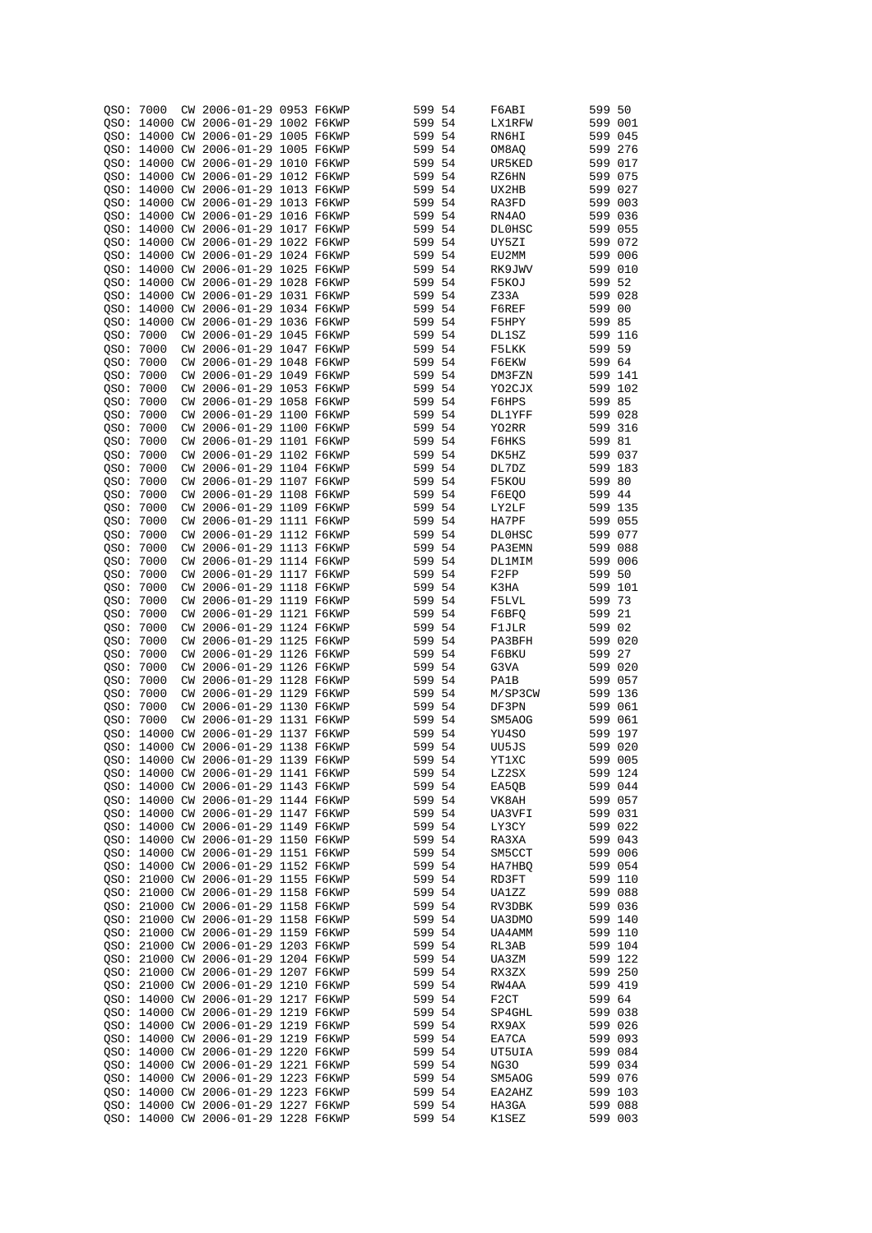| QSO: | 7000       |    | CW 2006-01-29 0953 F6KWP                                                   |  | 599              | 54  | F6ABI             | 599 50  |                    |
|------|------------|----|----------------------------------------------------------------------------|--|------------------|-----|-------------------|---------|--------------------|
|      |            |    | OSO: 14000 CW 2006-01-29 1002 F6KWP                                        |  | 599 54           |     | LX1RFW            | 599 001 |                    |
|      |            |    |                                                                            |  |                  |     |                   |         |                    |
|      |            |    | OSO: 14000 CW 2006-01-29 1005 F6KWP                                        |  | 599              | 54  | RN6HI             | 599 045 |                    |
| QSO: |            |    | 14000 CW 2006-01-29 1005 F6KWP                                             |  | 599 54           |     | OM8AQ             | 599 276 |                    |
| QSO: |            |    | 14000 CW 2006-01-29 1010 F6KWP                                             |  | 599 54           |     | UR5KED            | 599 017 |                    |
| QSO: |            |    | 14000 CW 2006-01-29 1012 F6KWP                                             |  | 599 54           |     | RZ6HN             | 599 075 |                    |
| QSO: |            |    | 14000 CW 2006-01-29 1013 F6KWP                                             |  | 599              | 54  | UX2HB             | 599 027 |                    |
| QSO: |            |    | 14000 CW 2006-01-29 1013 F6KWP                                             |  | 599 54           |     | RA3FD             | 599 003 |                    |
|      |            |    |                                                                            |  |                  |     |                   |         |                    |
|      |            |    | OSO: 14000 CW 2006-01-29 1016 F6KWP                                        |  | 599 54           |     | RN4AO             | 599 036 |                    |
|      |            |    | QSO: 14000 CW 2006-01-29 1017 F6KWP                                        |  | 599 54           |     | DL0HSC            | 599 055 |                    |
|      |            |    | OSO: 14000 CW 2006-01-29 1022 F6KWP                                        |  | 599 54           |     | UY5ZI             | 599 072 |                    |
|      |            |    | QSO: 14000 CW 2006-01-29 1024 F6KWP                                        |  | 599 54           |     | EU2MM             | 599 006 |                    |
|      |            |    | OSO: 14000 CW 2006-01-29 1025 F6KWP                                        |  | 599 54           |     | RK9JWV            | 599 010 |                    |
|      |            |    | QSO: 14000 CW 2006-01-29 1028 F6KWP                                        |  | 599 54           |     | F5KOJ             | 599 52  |                    |
|      |            |    | 14000 CW 2006-01-29 1031 F6KWP                                             |  | 599 54           |     | Z33A              | 599 028 |                    |
| OSO: |            |    |                                                                            |  |                  |     |                   |         |                    |
| OSO: | 14000      |    | CW 2006-01-29 1034 F6KWP                                                   |  | 599 54           |     | F6REF             | 599 00  |                    |
| OSO: |            |    | 14000 CW 2006-01-29 1036 F6KWP                                             |  | 599 54           |     | F5HPY             | 599 85  |                    |
| QSO: | 7000       | CW | 2006-01-29 1045 F6KWP                                                      |  | 599 54           |     | DL1SZ             | 599 116 |                    |
| QSO: | 7000       |    | CW 2006-01-29 1047 F6KWP                                                   |  | 599 54           |     | F5LKK             | 599 59  |                    |
| QSO: | 7000       | CW | 2006-01-29 1048 F6KWP                                                      |  | 599 54           |     | F6EKW             | 599 64  |                    |
| OSO: | 7000       |    | CW 2006-01-29 1049 F6KWP                                                   |  | 599 54           |     | DM3FZN            | 599 141 |                    |
|      |            |    |                                                                            |  |                  |     |                   |         |                    |
| QSO: | 7000       | CW | 2006-01-29 1053 F6KWP                                                      |  | 599              | 54  | YO2CJX            | 599 102 |                    |
| OSO: | 7000       |    | CW 2006-01-29 1058 F6KWP                                                   |  | 599 54           |     | F6HPS             | 599 85  |                    |
| QSO: | 7000       | CW | 2006-01-29 1100 F6KWP                                                      |  | 599              | 54  | <b>DL1YFF</b>     | 599 028 |                    |
| QSO: | 7000       |    | CW 2006-01-29 1100 F6KWP                                                   |  | 599 54           |     | YO2RR             | 599 316 |                    |
| QSO: | 7000       | СW | 2006-01-29 1101 F6KWP                                                      |  | 599              | 54  | F6HKS             | 599 81  |                    |
| QSO: | 7000       | СW | 2006-01-29 1102 F6KWP                                                      |  | 599 54           |     | DK5HZ             | 599 037 |                    |
|      |            |    | 2006-01-29 1104 F6KWP                                                      |  |                  |     | DL7DZ             |         | 183                |
| QSO: | 7000       | CM |                                                                            |  | 599              | 54  |                   | 599     |                    |
|      | QSO: 7000  | СW | 2006-01-29 1107 F6KWP                                                      |  | 599              | -54 | F5KOU             | 599 80  |                    |
| QSO: | 7000       | CW | 2006-01-29 1108 F6KWP                                                      |  | 599              | 54  | F6EQO             | 599 44  |                    |
| QSO: | 7000       | CW | 2006-01-29 1109 F6KWP                                                      |  | 599 54           |     | LY2LF             | 599 135 |                    |
| OSO: | 7000       | СW | 2006-01-29 1111 F6KWP                                                      |  | 599              | 54  | HA7PF             | 599 055 |                    |
|      | OSO: 7000  | СW | 2006-01-29 1112 F6KWP                                                      |  | 599              | -54 | DL0HSC            | 599 077 |                    |
| QSO: | 7000       | СW | 2006-01-29 1113 F6KWP                                                      |  | 599              | 54  | PA3EMN            | 599 088 |                    |
|      |            |    |                                                                            |  |                  |     |                   |         |                    |
|      | OSO: 7000  | СW | 2006-01-29 1114 F6KWP                                                      |  | 599 54           |     | DL1MIM            | 599 006 |                    |
| QSO: | 7000       | CW | 2006-01-29 1117 F6KWP                                                      |  | 599              | -54 | F2FP              | 599     | 50                 |
|      | QSO: 7000  | СW | 2006-01-29 1118 F6KWP                                                      |  | 599 54           |     | K3HA              | 599 101 |                    |
|      | QSO: 7000  | СW | 2006-01-29 1119 F6KWP                                                      |  | 599              | -54 | F5LVL             | 599 73  |                    |
|      | QSO: 7000  | СW | 2006-01-29 1121 F6KWP                                                      |  | 599 54           |     | F6BFQ             | 599 21  |                    |
|      | QSO: 7000  | СW | 2006-01-29 1124 F6KWP                                                      |  | 599              | -54 | F1JLR             | 599 02  |                    |
|      | QSO: 7000  | СW | 2006-01-29 1125 F6KWP                                                      |  | 599 54           |     | PA3BFH            | 599 020 |                    |
|      |            |    |                                                                            |  |                  |     |                   |         |                    |
|      | QSO: 7000  | CW | 2006-01-29 1126 F6KWP                                                      |  | 599              | -54 | F6BKU             | 599 27  |                    |
| QSO: | 7000       | CW | 2006-01-29 1126 F6KWP                                                      |  | 599 54           |     | G3VA              | 599 020 |                    |
| OSO: | 7000       | CW | 2006-01-29 1128 F6KWP                                                      |  | 599              | 54  | PA1B              | 599 057 |                    |
| QSO: | 7000       | СW | 2006-01-29 1129 F6KWP                                                      |  | 599 54           |     | M/SP3CW           | 599 136 |                    |
| QSO: | 7000       | CW | 2006-01-29 1130 F6KWP                                                      |  | 599 54           |     | DF3PN             | 599 061 |                    |
| OSO: | 7000       | CW | 2006-01-29 1131 F6KWP                                                      |  | 599 54           |     | SM5AOG            | 599 061 |                    |
|      | OSO: 14000 |    | CW 2006-01-29 1137 F6KWP                                                   |  | 599              | -54 | YU4SO             | 599 197 |                    |
|      |            |    |                                                                            |  |                  |     |                   |         |                    |
| OSO: |            |    | 14000 CW 2006-01-29 1138 F6KWP                                             |  | 599 54           |     | UU5JS             | 599 020 |                    |
|      |            |    | QSO: 14000 CW 2006-01-29 1139 F6KWP                                        |  | 599 54           |     | YT1XC             | 599 005 |                    |
|      |            |    | OSO: 14000 CW 2006-01-29 1141 F6KWP                                        |  | 599 54           |     | LZ2SX             |         | 599 124            |
|      |            |    | QSO: 14000 CW 2006-01-29 1143 F6KWP                                        |  | 599 54           |     | EA50B             |         | 599 044            |
|      |            |    | OSO: 14000 CW 2006-01-29 1144 F6KWP                                        |  | 599 54           |     | VK8AH             |         | 599 057            |
|      |            |    | QSO: 14000 CW 2006-01-29 1147 F6KWP                                        |  | 599 54           |     | UA3VFI            |         | 599 031            |
|      |            |    |                                                                            |  |                  |     |                   |         |                    |
|      |            |    | QSO: 14000 CW 2006-01-29 1149 F6KWP                                        |  | 599 54           |     | LY3CY             |         | 599 022            |
|      |            |    | QSO: 14000 CW 2006-01-29 1150 F6KWP                                        |  | 599 54           |     | RA3XA             |         | 599 043            |
|      |            |    | QSO: 14000 CW 2006-01-29 1151 F6KWP                                        |  | 599 54           |     | SM5CCT            |         | 599 006            |
|      |            |    | OSO: 14000 CW 2006-01-29 1152 F6KWP                                        |  | 599 54           |     | HA7HBQ            |         | 599 054            |
|      |            |    | OSO: 21000 CW 2006-01-29 1155 F6KWP                                        |  | 599 54           |     | RD3FT             | 599 110 |                    |
|      |            |    | QSO: 21000 CW 2006-01-29 1158 F6KWP                                        |  | 599 54           |     | UA1ZZ             |         | 599 088            |
|      |            |    | QSO: 21000 CW 2006-01-29 1158 F6KWP                                        |  | 599 54           |     | RV3DBK            |         | 599 036            |
|      |            |    | OSO: 21000 CW 2006-01-29 1158 F6KWP                                        |  |                  |     |                   |         |                    |
|      |            |    |                                                                            |  | 599 54           |     | UA3DMO            |         | 599 140            |
|      |            |    | QSO: 21000 CW 2006-01-29 1159 F6KWP                                        |  | 599 54           |     | UA4AMM            |         | 599 110            |
|      |            |    | OSO: 21000 CW 2006-01-29 1203 F6KWP                                        |  | 599 54           |     | RL3AB             |         | 599 104            |
|      |            |    | QSO: 21000 CW 2006-01-29 1204 F6KWP                                        |  | 599 54           |     | UA3ZM             |         | 599 122            |
|      |            |    |                                                                            |  | 599 54           |     | RX3ZX             |         | 599 250            |
|      |            |    | QSO: 21000 CW 2006-01-29 1207 F6KWP                                        |  |                  |     |                   |         |                    |
|      |            |    |                                                                            |  |                  |     |                   |         |                    |
|      |            |    | QSO: 21000 CW 2006-01-29 1210 F6KWP                                        |  | 599 54           |     | RW4AA             |         | 599 419            |
|      |            |    | QSO: 14000 CW 2006-01-29 1217 F6KWP                                        |  | 599 54           |     | F <sub>2</sub> CT | 599 64  |                    |
|      |            |    | QSO: 14000 CW 2006-01-29 1219 F6KWP                                        |  | 599 54           |     | SP4GHL            |         | 599 038            |
|      |            |    | QSO: 14000 CW 2006-01-29 1219 F6KWP                                        |  | 599 54           |     | RX9AX             |         | 599 026            |
|      |            |    | QSO: 14000 CW 2006-01-29 1219 F6KWP                                        |  | 599 54           |     | EA7CA             |         | 599 093            |
|      |            |    | QSO: 14000 CW 2006-01-29 1220 F6KWP                                        |  | 599 54           |     | UT5UIA            |         | 599 084            |
|      |            |    | QSO: 14000 CW 2006-01-29 1221 F6KWP                                        |  | 599 54           |     | NG30              |         | 599 034            |
|      |            |    |                                                                            |  |                  |     |                   |         |                    |
|      |            |    | QSO: 14000 CW 2006-01-29 1223 F6KWP                                        |  | 599 54           |     | SM5AOG            |         | 599 076            |
|      |            |    | QSO: 14000 CW 2006-01-29 1223 F6KWP                                        |  | 599 54           |     | EA2AHZ            |         | 599 103            |
|      |            |    | QSO: 14000 CW 2006-01-29 1227 F6KWP<br>QSO: 14000 CW 2006-01-29 1228 F6KWP |  | 599 54<br>599 54 |     | HA3GA<br>K1SEZ    |         | 599 088<br>599 003 |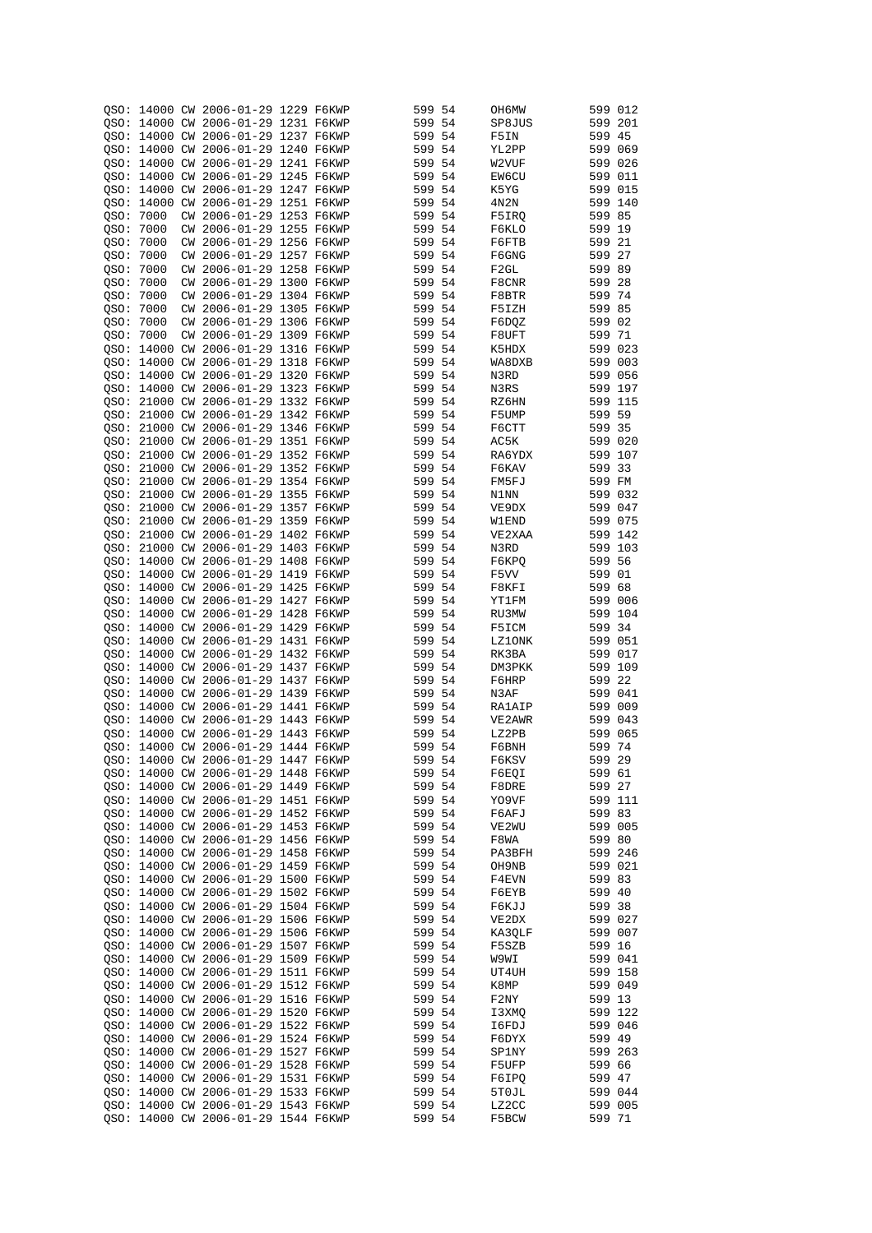| OSO: |          |    | 14000 CW 2006-01-29 1229 F6KWP      |  | 599 54 |      | OH6MW            | 599 012 |         |
|------|----------|----|-------------------------------------|--|--------|------|------------------|---------|---------|
|      |          |    |                                     |  |        |      |                  |         |         |
|      |          |    | OSO: 14000 CW 2006-01-29 1231 F6KWP |  | 599 54 |      | SP8JUS           | 599 201 |         |
|      |          |    | OSO: 14000 CW 2006-01-29 1237 F6KWP |  | 599 54 |      | F5IN             | 599     | 45      |
|      |          |    | OSO: 14000 CW 2006-01-29 1240 F6KWP |  | 599 54 |      | YL2PP            | 599 069 |         |
|      |          |    | OSO: 14000 CW 2006-01-29 1241 F6KWP |  | 599 54 |      | W2VUF            | 599 026 |         |
|      |          |    |                                     |  |        |      |                  | 599 011 |         |
|      |          |    | OSO: 14000 CW 2006-01-29 1245 F6KWP |  | 599 54 |      | <b>EW6CU</b>     |         |         |
|      |          |    | OSO: 14000 CW 2006-01-29 1247 F6KWP |  | 599 54 |      | K5YG             | 599 015 |         |
| OSO: |          |    | 14000 CW 2006-01-29 1251 F6KWP      |  | 599 54 |      | 4N2N             | 599 140 |         |
| OSO: | 7000     |    | CW 2006-01-29 1253 F6KWP            |  | 599 54 |      | F5IRQ            | 599 85  |         |
|      |          |    |                                     |  |        |      |                  |         |         |
| QSO: | 7000     | СW | 2006-01-29 1255 F6KWP               |  | 599 54 |      | F6KLO            | 599 19  |         |
| QSO: | 7000     |    | CW 2006-01-29 1256 F6KWP            |  | 599    | 54   | F6FTB            | 599 21  |         |
| QSO: | 7000     |    | CW 2006-01-29 1257 F6KWP            |  | 599 54 |      | F6GNG            | 599     | 27      |
| QSO: | 7000     |    | CW 2006-01-29 1258 F6KWP            |  | 599 54 |      | F <sub>2GL</sub> | 599 89  |         |
|      | 7000     |    | CW 2006-01-29 1300 F6KWP            |  |        |      |                  |         |         |
| QSO: |          |    |                                     |  | 599 54 |      | F8CNR            | 599 28  |         |
| OSO: | 7000     |    | CW 2006-01-29 1304 F6KWP            |  | 599    | 54   | F8BTR            | 599 74  |         |
| QSO: | 7000     | СW | 2006-01-29 1305 F6KWP               |  | 599    | 54   | F5IZH            | 599 85  |         |
| QSO: | 7000     | CW | 2006-01-29 1306 F6KWP               |  | 599 54 |      | F6DQZ            | 599 02  |         |
|      | 7000     | СW | 2006-01-29 1309 F6KWP               |  | 599    | 54   |                  | 599 71  |         |
| QSO: |          |    |                                     |  |        |      | F8UFT            |         |         |
|      |          |    | OSO: 14000 CW 2006-01-29 1316 F6KWP |  | 599 54 |      | K5HDX            | 599 023 |         |
| QSO: |          |    | 14000 CW 2006-01-29 1318 F6KWP      |  | 599    | 54   | WA8DXB           | 599 003 |         |
| OSO: |          |    | 14000 CW 2006-01-29 1320 F6KWP      |  | 599 54 |      | N3RD             | 599 056 |         |
| OSO: |          |    | 14000 CW 2006-01-29 1323 F6KWP      |  | 599 54 |      | N3RS             |         | 599 197 |
|      |          |    |                                     |  |        |      |                  |         |         |
| OSO: |          |    | 21000 CW 2006-01-29 1332 F6KWP      |  | 599 54 |      | RZ6HN            | 599 115 |         |
| QSO: |          |    | 21000 CW 2006-01-29 1342 F6KWP      |  | 599 54 |      | F5UMP            | 599 59  |         |
| OSO: |          |    | 21000 CW 2006-01-29 1346 F6KWP      |  | 599 54 |      | F6CTT            | 599 35  |         |
| QSO: |          |    | 21000 CW 2006-01-29 1351 F6KWP      |  | 599 54 |      | AC5K             | 599 020 |         |
|      |          |    |                                     |  |        |      |                  |         |         |
| OSO: |          |    | 21000 CW 2006-01-29 1352 F6KWP      |  | 599 54 |      | RA6YDX           | 599 107 |         |
| OSO: |          |    | 21000 CW 2006-01-29 1352 F6KWP      |  | 599    | -54  | F6KAV            | 599     | 33      |
| OSO: |          |    | 21000 CW 2006-01-29 1354 F6KWP      |  | 599 54 |      | FM5FJ            | 599 FM  |         |
| OSO: |          |    | 21000 CW 2006-01-29 1355 F6KWP      |  | 599    | - 54 | N1NN             | 599     | 032     |
|      |          |    |                                     |  |        |      |                  |         |         |
| OSO: |          |    | 21000 CW 2006-01-29 1357 F6KWP      |  | 599 54 |      | VE9DX            | 599 047 |         |
| QSO: |          |    | 21000 CW 2006-01-29 1359 F6KWP      |  | 599    | 54   | W1END            | 599     | 075     |
|      |          |    | QSO: 21000 CW 2006-01-29 1402 F6KWP |  | 599 54 |      | VE2XAA           | 599 142 |         |
| QSO: |          |    | 21000 CW 2006-01-29 1403 F6KWP      |  | 599    | 54   | N3RD             | 599     | 103     |
|      |          |    | QSO: 14000 CW 2006-01-29 1408 F6KWP |  | 599 54 |      | F6KPQ            | 599     | -56     |
|      |          |    |                                     |  |        |      |                  |         |         |
| QSO: |          |    | 14000 CW 2006-01-29 1419 F6KWP      |  | 599    | 54   | F5VV             | 599     | 01      |
|      |          |    | QSO: 14000 CW 2006-01-29 1425 F6KWP |  | 599 54 |      | F8KFI            | 599 68  |         |
| OSO: |          |    | 14000 CW 2006-01-29 1427 F6KWP      |  | 599    | 54   | YT1FM            | 599     | 006     |
|      |          |    | OSO: 14000 CW 2006-01-29 1428 F6KWP |  | 599    | - 54 | RU3MW            | 599 104 |         |
|      |          |    |                                     |  |        |      |                  |         |         |
| OSO: | 14000 CW |    | 2006-01-29 1429 F6KWP               |  | 599    | 54   | F5ICM            | 599     | 34      |
|      |          |    | OSO: 14000 CW 2006-01-29 1431 F6KWP |  | 599    | - 54 | LZ1ONK           | 599 051 |         |
| OSO: |          |    | 14000 CW 2006-01-29 1432 F6KWP      |  | 599    | 54   | RK3BA            | 599 017 |         |
|      |          |    | OSO: 14000 CW 2006-01-29 1437 F6KWP |  | 599 54 |      | DM3PKK           | 599 109 |         |
|      |          |    |                                     |  |        |      |                  |         |         |
| OSO: |          |    | 14000 CW 2006-01-29 1437 F6KWP      |  | 599    | -54  | F6HRP            | 599     | -22     |
|      |          |    | OSO: 14000 CW 2006-01-29 1439 F6KWP |  | 599 54 |      | N3AF             | 599 041 |         |
| OSO: |          |    | 14000 CW 2006-01-29 1441 F6KWP      |  | 599 54 |      | RA1AIP           | 599 009 |         |
| OSO: |          |    | 14000 CW 2006-01-29 1443 F6KWP      |  | 599 54 |      | VE2AWR           | 599 043 |         |
|      |          |    |                                     |  |        |      | LZ2PB            |         |         |
| OSO: |          |    | 14000 CW 2006-01-29 1443 F6KWP      |  | 599 54 |      |                  | 599     | 065     |
| OSO: |          |    | 14000 CW 2006-01-29 1444 F6KWP      |  | 599 54 |      | F6BNH            | 599 74  |         |
|      |          |    | QSO: 14000 CW 2006-01-29 1447 F6KWP |  | 599 54 |      | F6KSV            | 599 29  |         |
|      |          |    | OSO: 14000 CW 2006-01-29 1448 F6KWP |  | 599 54 |      | F6EQI            | 599 61  |         |
|      |          |    | OSO: 14000 CW 2006-01-29 1449 F6KWP |  | 599 54 |      | F8DRE            | 599 27  |         |
|      |          |    |                                     |  |        |      |                  |         |         |
|      |          |    | QSO: 14000 CW 2006-01-29 1451 F6KWP |  | 599 54 |      | Y09VF            |         | 599 111 |
|      |          |    | OSO: 14000 CW 2006-01-29 1452 F6KWP |  | 599 54 |      | F6AFJ            | 599 83  |         |
|      |          |    | QSO: 14000 CW 2006-01-29 1453 F6KWP |  | 599 54 |      | VE2WU            |         | 599 005 |
|      |          |    | QSO: 14000 CW 2006-01-29 1456 F6KWP |  | 599 54 |      | F8WA             | 599 80  |         |
|      |          |    | QSO: 14000 CW 2006-01-29 1458 F6KWP |  | 599 54 |      | PA3BFH           |         | 599 246 |
|      |          |    |                                     |  |        |      |                  |         |         |
|      |          |    | QSO: 14000 CW 2006-01-29 1459 F6KWP |  | 599 54 |      | OH9NB            |         | 599 021 |
|      |          |    | QSO: 14000 CW 2006-01-29 1500 F6KWP |  | 599 54 |      | F4EVN            | 599 83  |         |
|      |          |    | QSO: 14000 CW 2006-01-29 1502 F6KWP |  | 599 54 |      | F6EYB            | 599 40  |         |
|      |          |    | QSO: 14000 CW 2006-01-29 1504 F6KWP |  | 599 54 |      | F6KJJ            | 599 38  |         |
|      |          |    | QSO: 14000 CW 2006-01-29 1506 F6KWP |  | 599 54 |      |                  |         | 599 027 |
|      |          |    |                                     |  |        |      | VE2DX            |         |         |
|      |          |    | OSO: 14000 CW 2006-01-29 1506 F6KWP |  | 599 54 |      | KA3QLF           |         | 599 007 |
|      |          |    | QSO: 14000 CW 2006-01-29 1507 F6KWP |  | 599 54 |      | F5SZB            | 599 16  |         |
|      |          |    | QSO: 14000 CW 2006-01-29 1509 F6KWP |  | 599 54 |      | W9WI             |         | 599 041 |
|      |          |    | QSO: 14000 CW 2006-01-29 1511 F6KWP |  | 599 54 |      | UT4UH            |         | 599 158 |
|      |          |    |                                     |  |        |      |                  |         |         |
|      |          |    | QSO: 14000 CW 2006-01-29 1512 F6KWP |  | 599 54 |      | K8MP             |         | 599 049 |
|      |          |    | QSO: 14000 CW 2006-01-29 1516 F6KWP |  | 599 54 |      | F2NY             | 599 13  |         |
|      |          |    | QSO: 14000 CW 2006-01-29 1520 F6KWP |  | 599 54 |      | I3XMQ            |         | 599 122 |
|      |          |    | QSO: 14000 CW 2006-01-29 1522 F6KWP |  | 599 54 |      | I6FDJ            |         | 599 046 |
|      |          |    |                                     |  |        |      |                  |         |         |
|      |          |    | QSO: 14000 CW 2006-01-29 1524 F6KWP |  | 599 54 |      | F6DYX            | 599 49  |         |
|      |          |    | QSO: 14000 CW 2006-01-29 1527 F6KWP |  | 599 54 |      | SP1NY            |         | 599 263 |
|      |          |    | QSO: 14000 CW 2006-01-29 1528 F6KWP |  | 599 54 |      | F5UFP            | 599 66  |         |
|      |          |    | QSO: 14000 CW 2006-01-29 1531 F6KWP |  | 599 54 |      | F6IPQ            | 599 47  |         |
|      |          |    | QSO: 14000 CW 2006-01-29 1533 F6KWP |  | 599 54 |      | 5T0JL            |         | 599 044 |
|      |          |    |                                     |  |        |      |                  |         |         |
|      |          |    | QSO: 14000 CW 2006-01-29 1543 F6KWP |  | 599 54 |      | LZ2CC            |         | 599 005 |
|      |          |    | QSO: 14000 CW 2006-01-29 1544 F6KWP |  | 599 54 |      | F5BCW            | 599 71  |         |